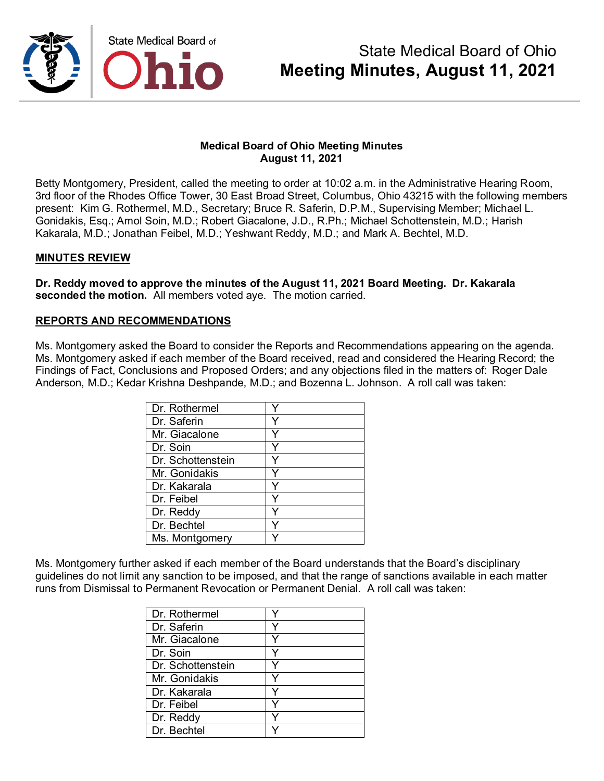

#### **Medical Board of Ohio Meeting Minutes August 11, 2021**

Betty Montgomery, President, called the meeting to order at 10:02 a.m. in the Administrative Hearing Room, 3rd floor of the Rhodes Office Tower, 30 East Broad Street, Columbus, Ohio 43215 with the following members present: Kim G. Rothermel, M.D., Secretary; Bruce R. Saferin, D.P.M., Supervising Member; Michael L. Gonidakis, Esq.; Amol Soin, M.D.; Robert Giacalone, J.D., R.Ph.; Michael Schottenstein, M.D.; Harish Kakarala, M.D.; Jonathan Feibel, M.D.; Yeshwant Reddy, M.D.; and Mark A. Bechtel, M.D.

#### **MINUTES REVIEW**

**Dr. Reddy moved to approve the minutes of the August 11, 2021 Board Meeting. Dr. Kakarala seconded the motion.** All members voted aye. The motion carried.

#### **REPORTS AND RECOMMENDATIONS**

Ms. Montgomery asked the Board to consider the Reports and Recommendations appearing on the agenda. Ms. Montgomery asked if each member of the Board received, read and considered the Hearing Record; the Findings of Fact, Conclusions and Proposed Orders; and any objections filed in the matters of: Roger Dale Anderson, M.D.; Kedar Krishna Deshpande, M.D.; and Bozenna L. Johnson. A roll call was taken:

| Dr. Rothermel     |  |
|-------------------|--|
| Dr. Saferin       |  |
| Mr. Giacalone     |  |
| Dr. Soin          |  |
| Dr. Schottenstein |  |
| Mr. Gonidakis     |  |
| Dr. Kakarala      |  |
| Dr. Feibel        |  |
| Dr. Reddy         |  |
| Dr. Bechtel       |  |
| Ms. Montgomery    |  |

Ms. Montgomery further asked if each member of the Board understands that the Board's disciplinary guidelines do not limit any sanction to be imposed, and that the range of sanctions available in each matter runs from Dismissal to Permanent Revocation or Permanent Denial. A roll call was taken:

| Dr. Rothermel     |   |
|-------------------|---|
| Dr. Saferin       | v |
| Mr. Giacalone     | v |
| Dr. Soin          | ٧ |
| Dr. Schottenstein |   |
| Mr. Gonidakis     | v |
| Dr. Kakarala      | ٧ |
| Dr. Feibel        |   |
| Dr. Reddy         |   |
| Dr. Bechtel       |   |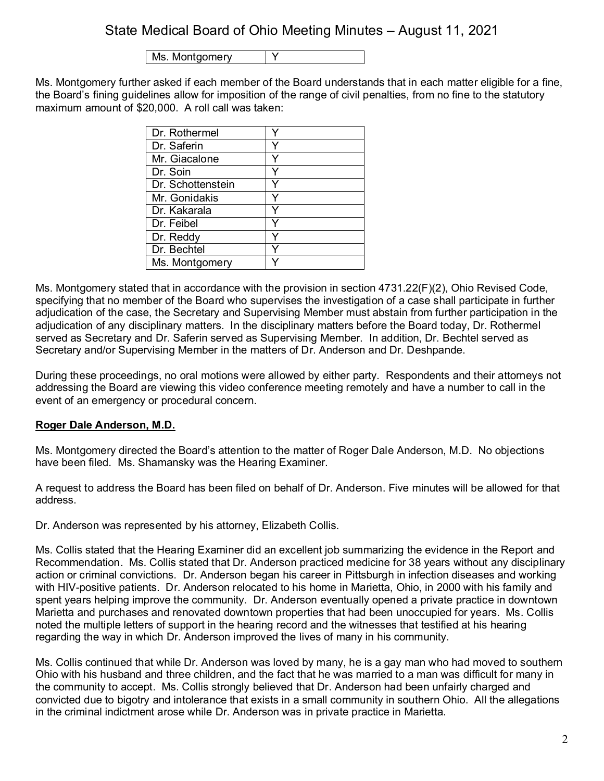Ms. Montgomery | Y

Ms. Montgomery further asked if each member of the Board understands that in each matter eligible for a fine, the Board's fining guidelines allow for imposition of the range of civil penalties, from no fine to the statutory maximum amount of \$20,000. A roll call was taken:

| Dr. Rothermel     |  |
|-------------------|--|
| Dr. Saferin       |  |
| Mr. Giacalone     |  |
| Dr. Soin          |  |
| Dr. Schottenstein |  |
| Mr. Gonidakis     |  |
| Dr. Kakarala      |  |
| Dr. Feibel        |  |
| Dr. Reddy         |  |
| Dr. Bechtel       |  |
| Ms. Montgomery    |  |

Ms. Montgomery stated that in accordance with the provision in section 4731.22(F)(2), Ohio Revised Code, specifying that no member of the Board who supervises the investigation of a case shall participate in further adjudication of the case, the Secretary and Supervising Member must abstain from further participation in the adjudication of any disciplinary matters. In the disciplinary matters before the Board today, Dr. Rothermel served as Secretary and Dr. Saferin served as Supervising Member. In addition, Dr. Bechtel served as Secretary and/or Supervising Member in the matters of Dr. Anderson and Dr. Deshpande.

During these proceedings, no oral motions were allowed by either party. Respondents and their attorneys not addressing the Board are viewing this video conference meeting remotely and have a number to call in the event of an emergency or procedural concern.

## **Roger Dale Anderson, M.D.**

Ms. Montgomery directed the Board's attention to the matter of Roger Dale Anderson, M.D. No objections have been filed. Ms. Shamansky was the Hearing Examiner.

A request to address the Board has been filed on behalf of Dr. Anderson. Five minutes will be allowed for that address.

Dr. Anderson was represented by his attorney, Elizabeth Collis.

Ms. Collis stated that the Hearing Examiner did an excellent job summarizing the evidence in the Report and Recommendation. Ms. Collis stated that Dr. Anderson practiced medicine for 38 years without any disciplinary action or criminal convictions. Dr. Anderson began his career in Pittsburgh in infection diseases and working with HIV-positive patients. Dr. Anderson relocated to his home in Marietta, Ohio, in 2000 with his family and spent years helping improve the community. Dr. Anderson eventually opened a private practice in downtown Marietta and purchases and renovated downtown properties that had been unoccupied for years. Ms. Collis noted the multiple letters of support in the hearing record and the witnesses that testified at his hearing regarding the way in which Dr. Anderson improved the lives of many in his community.

Ms. Collis continued that while Dr. Anderson was loved by many, he is a gay man who had moved to southern Ohio with his husband and three children, and the fact that he was married to a man was difficult for many in the community to accept. Ms. Collis strongly believed that Dr. Anderson had been unfairly charged and convicted due to bigotry and intolerance that exists in a small community in southern Ohio. All the allegations in the criminal indictment arose while Dr. Anderson was in private practice in Marietta.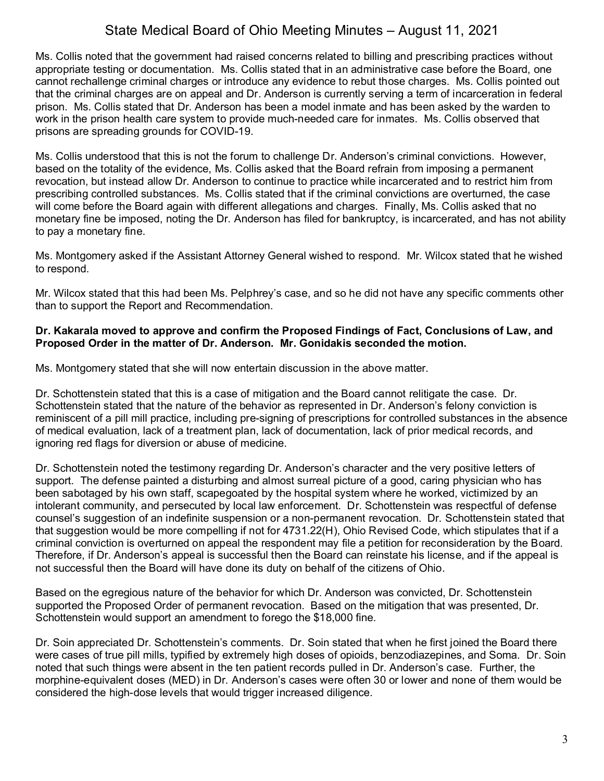Ms. Collis noted that the government had raised concerns related to billing and prescribing practices without appropriate testing or documentation. Ms. Collis stated that in an administrative case before the Board, one cannot rechallenge criminal charges or introduce any evidence to rebut those charges. Ms. Collis pointed out that the criminal charges are on appeal and Dr. Anderson is currently serving a term of incarceration in federal prison. Ms. Collis stated that Dr. Anderson has been a model inmate and has been asked by the warden to work in the prison health care system to provide much-needed care for inmates. Ms. Collis observed that prisons are spreading grounds for COVID-19.

Ms. Collis understood that this is not the forum to challenge Dr. Anderson's criminal convictions. However, based on the totality of the evidence, Ms. Collis asked that the Board refrain from imposing a permanent revocation, but instead allow Dr. Anderson to continue to practice while incarcerated and to restrict him from prescribing controlled substances. Ms. Collis stated that if the criminal convictions are overturned, the case will come before the Board again with different allegations and charges. Finally, Ms. Collis asked that no monetary fine be imposed, noting the Dr. Anderson has filed for bankruptcy, is incarcerated, and has not ability to pay a monetary fine.

Ms. Montgomery asked if the Assistant Attorney General wished to respond. Mr. Wilcox stated that he wished to respond.

Mr. Wilcox stated that this had been Ms. Pelphrey's case, and so he did not have any specific comments other than to support the Report and Recommendation.

#### **Dr. Kakarala moved to approve and confirm the Proposed Findings of Fact, Conclusions of Law, and Proposed Order in the matter of Dr. Anderson. Mr. Gonidakis seconded the motion.**

Ms. Montgomery stated that she will now entertain discussion in the above matter.

Dr. Schottenstein stated that this is a case of mitigation and the Board cannot relitigate the case. Dr. Schottenstein stated that the nature of the behavior as represented in Dr. Anderson's felony conviction is reminiscent of a pill mill practice, including pre-signing of prescriptions for controlled substances in the absence of medical evaluation, lack of a treatment plan, lack of documentation, lack of prior medical records, and ignoring red flags for diversion or abuse of medicine.

Dr. Schottenstein noted the testimony regarding Dr. Anderson's character and the very positive letters of support. The defense painted a disturbing and almost surreal picture of a good, caring physician who has been sabotaged by his own staff, scapegoated by the hospital system where he worked, victimized by an intolerant community, and persecuted by local law enforcement. Dr. Schottenstein was respectful of defense counsel's suggestion of an indefinite suspension or a non-permanent revocation. Dr. Schottenstein stated that that suggestion would be more compelling if not for 4731.22(H), Ohio Revised Code, which stipulates that if a criminal conviction is overturned on appeal the respondent may file a petition for reconsideration by the Board. Therefore, if Dr. Anderson's appeal is successful then the Board can reinstate his license, and if the appeal is not successful then the Board will have done its duty on behalf of the citizens of Ohio.

Based on the egregious nature of the behavior for which Dr. Anderson was convicted, Dr. Schottenstein supported the Proposed Order of permanent revocation. Based on the mitigation that was presented, Dr. Schottenstein would support an amendment to forego the \$18,000 fine.

Dr. Soin appreciated Dr. Schottenstein's comments. Dr. Soin stated that when he first joined the Board there were cases of true pill mills, typified by extremely high doses of opioids, benzodiazepines, and Soma. Dr. Soin noted that such things were absent in the ten patient records pulled in Dr. Anderson's case. Further, the morphine-equivalent doses (MED) in Dr. Anderson's cases were often 30 or lower and none of them would be considered the high-dose levels that would trigger increased diligence.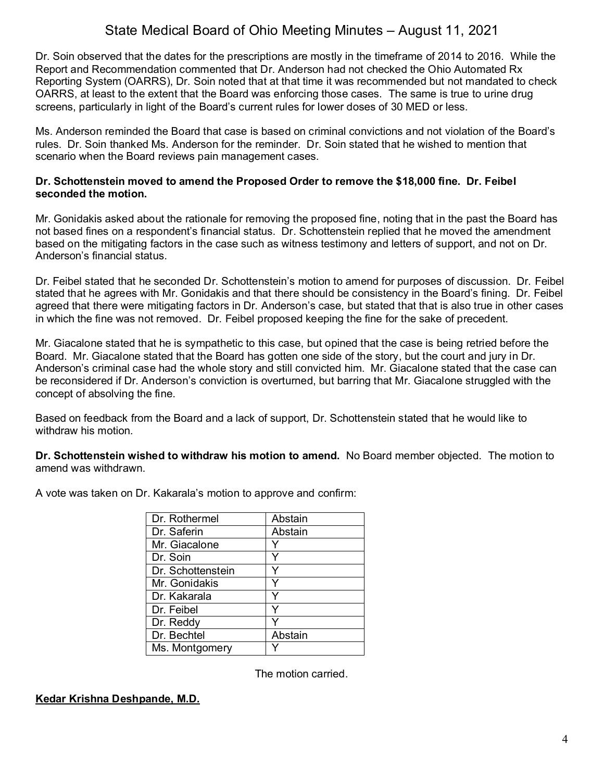Dr. Soin observed that the dates for the prescriptions are mostly in the timeframe of 2014 to 2016. While the Report and Recommendation commented that Dr. Anderson had not checked the Ohio Automated Rx Reporting System (OARRS), Dr. Soin noted that at that time it was recommended but not mandated to check OARRS, at least to the extent that the Board was enforcing those cases. The same is true to urine drug screens, particularly in light of the Board's current rules for lower doses of 30 MED or less.

Ms. Anderson reminded the Board that case is based on criminal convictions and not violation of the Board's rules. Dr. Soin thanked Ms. Anderson for the reminder. Dr. Soin stated that he wished to mention that scenario when the Board reviews pain management cases.

#### **Dr. Schottenstein moved to amend the Proposed Order to remove the \$18,000 fine. Dr. Feibel seconded the motion.**

Mr. Gonidakis asked about the rationale for removing the proposed fine, noting that in the past the Board has not based fines on a respondent's financial status. Dr. Schottenstein replied that he moved the amendment based on the mitigating factors in the case such as witness testimony and letters of support, and not on Dr. Anderson's financial status.

Dr. Feibel stated that he seconded Dr. Schottenstein's motion to amend for purposes of discussion. Dr. Feibel stated that he agrees with Mr. Gonidakis and that there should be consistency in the Board's fining. Dr. Feibel agreed that there were mitigating factors in Dr. Anderson's case, but stated that that is also true in other cases in which the fine was not removed. Dr. Feibel proposed keeping the fine for the sake of precedent.

Mr. Giacalone stated that he is sympathetic to this case, but opined that the case is being retried before the Board. Mr. Giacalone stated that the Board has gotten one side of the story, but the court and jury in Dr. Anderson's criminal case had the whole story and still convicted him. Mr. Giacalone stated that the case can be reconsidered if Dr. Anderson's conviction is overturned, but barring that Mr. Giacalone struggled with the concept of absolving the fine.

Based on feedback from the Board and a lack of support, Dr. Schottenstein stated that he would like to withdraw his motion.

**Dr. Schottenstein wished to withdraw his motion to amend.** No Board member objected. The motion to amend was withdrawn.

| Abstain |
|---------|
| Abstain |
|         |
|         |
|         |
|         |
|         |
|         |
|         |
| Abstain |
|         |
|         |

A vote was taken on Dr. Kakarala's motion to approve and confirm:

The motion carried.

## **Kedar Krishna Deshpande, M.D.**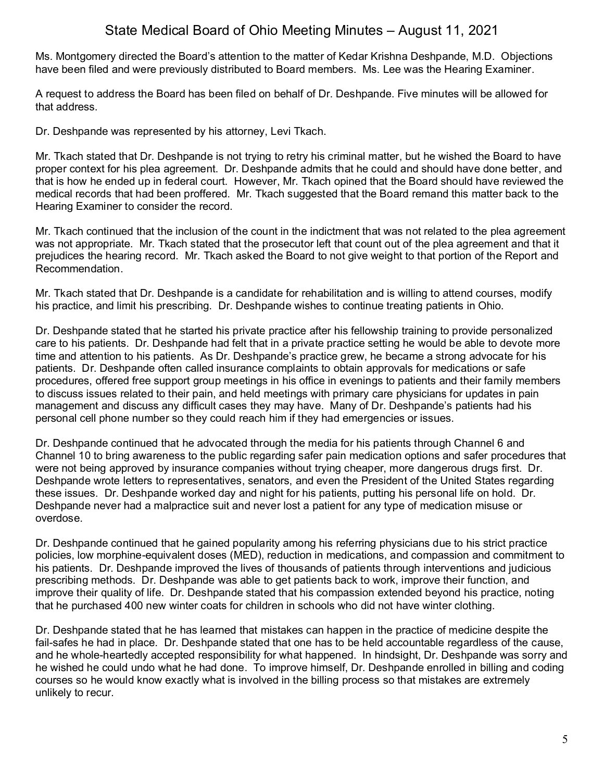Ms. Montgomery directed the Board's attention to the matter of Kedar Krishna Deshpande, M.D. Objections have been filed and were previously distributed to Board members. Ms. Lee was the Hearing Examiner.

A request to address the Board has been filed on behalf of Dr. Deshpande. Five minutes will be allowed for that address.

Dr. Deshpande was represented by his attorney, Levi Tkach.

Mr. Tkach stated that Dr. Deshpande is not trying to retry his criminal matter, but he wished the Board to have proper context for his plea agreement. Dr. Deshpande admits that he could and should have done better, and that is how he ended up in federal court. However, Mr. Tkach opined that the Board should have reviewed the medical records that had been proffered. Mr. Tkach suggested that the Board remand this matter back to the Hearing Examiner to consider the record.

Mr. Tkach continued that the inclusion of the count in the indictment that was not related to the plea agreement was not appropriate. Mr. Tkach stated that the prosecutor left that count out of the plea agreement and that it prejudices the hearing record. Mr. Tkach asked the Board to not give weight to that portion of the Report and Recommendation.

Mr. Tkach stated that Dr. Deshpande is a candidate for rehabilitation and is willing to attend courses, modify his practice, and limit his prescribing. Dr. Deshpande wishes to continue treating patients in Ohio.

Dr. Deshpande stated that he started his private practice after his fellowship training to provide personalized care to his patients. Dr. Deshpande had felt that in a private practice setting he would be able to devote more time and attention to his patients. As Dr. Deshpande's practice grew, he became a strong advocate for his patients. Dr. Deshpande often called insurance complaints to obtain approvals for medications or safe procedures, offered free support group meetings in his office in evenings to patients and their family members to discuss issues related to their pain, and held meetings with primary care physicians for updates in pain management and discuss any difficult cases they may have. Many of Dr. Deshpande's patients had his personal cell phone number so they could reach him if they had emergencies or issues.

Dr. Deshpande continued that he advocated through the media for his patients through Channel 6 and Channel 10 to bring awareness to the public regarding safer pain medication options and safer procedures that were not being approved by insurance companies without trying cheaper, more dangerous drugs first. Dr. Deshpande wrote letters to representatives, senators, and even the President of the United States regarding these issues. Dr. Deshpande worked day and night for his patients, putting his personal life on hold. Dr. Deshpande never had a malpractice suit and never lost a patient for any type of medication misuse or overdose.

Dr. Deshpande continued that he gained popularity among his referring physicians due to his strict practice policies, low morphine-equivalent doses (MED), reduction in medications, and compassion and commitment to his patients. Dr. Deshpande improved the lives of thousands of patients through interventions and judicious prescribing methods. Dr. Deshpande was able to get patients back to work, improve their function, and improve their quality of life. Dr. Deshpande stated that his compassion extended beyond his practice, noting that he purchased 400 new winter coats for children in schools who did not have winter clothing.

Dr. Deshpande stated that he has learned that mistakes can happen in the practice of medicine despite the fail-safes he had in place. Dr. Deshpande stated that one has to be held accountable regardless of the cause, and he whole-heartedly accepted responsibility for what happened. In hindsight, Dr. Deshpande was sorry and he wished he could undo what he had done. To improve himself, Dr. Deshpande enrolled in billing and coding courses so he would know exactly what is involved in the billing process so that mistakes are extremely unlikely to recur.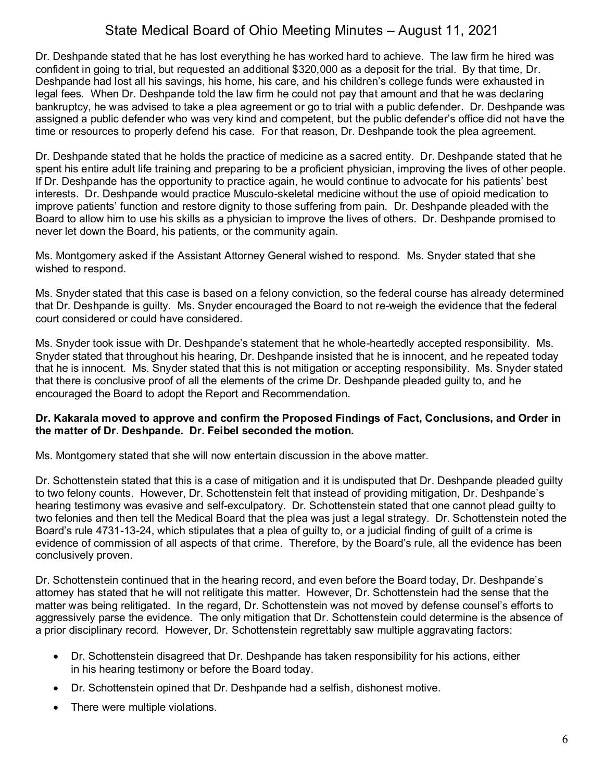Dr. Deshpande stated that he has lost everything he has worked hard to achieve. The law firm he hired was confident in going to trial, but requested an additional \$320,000 as a deposit for the trial. By that time, Dr. Deshpande had lost all his savings, his home, his care, and his children's college funds were exhausted in legal fees. When Dr. Deshpande told the law firm he could not pay that amount and that he was declaring bankruptcy, he was advised to take a plea agreement or go to trial with a public defender. Dr. Deshpande was assigned a public defender who was very kind and competent, but the public defender's office did not have the time or resources to properly defend his case. For that reason, Dr. Deshpande took the plea agreement.

Dr. Deshpande stated that he holds the practice of medicine as a sacred entity. Dr. Deshpande stated that he spent his entire adult life training and preparing to be a proficient physician, improving the lives of other people. If Dr. Deshpande has the opportunity to practice again, he would continue to advocate for his patients' best interests. Dr. Deshpande would practice Musculo-skeletal medicine without the use of opioid medication to improve patients' function and restore dignity to those suffering from pain. Dr. Deshpande pleaded with the Board to allow him to use his skills as a physician to improve the lives of others. Dr. Deshpande promised to never let down the Board, his patients, or the community again.

Ms. Montgomery asked if the Assistant Attorney General wished to respond. Ms. Snyder stated that she wished to respond.

Ms. Snyder stated that this case is based on a felony conviction, so the federal course has already determined that Dr. Deshpande is guilty. Ms. Snyder encouraged the Board to not re-weigh the evidence that the federal court considered or could have considered.

Ms. Snyder took issue with Dr. Deshpande's statement that he whole-heartedly accepted responsibility. Ms. Snyder stated that throughout his hearing, Dr. Deshpande insisted that he is innocent, and he repeated today that he is innocent. Ms. Snyder stated that this is not mitigation or accepting responsibility. Ms. Snyder stated that there is conclusive proof of all the elements of the crime Dr. Deshpande pleaded guilty to, and he encouraged the Board to adopt the Report and Recommendation.

#### **Dr. Kakarala moved to approve and confirm the Proposed Findings of Fact, Conclusions, and Order in the matter of Dr. Deshpande. Dr. Feibel seconded the motion.**

Ms. Montgomery stated that she will now entertain discussion in the above matter.

Dr. Schottenstein stated that this is a case of mitigation and it is undisputed that Dr. Deshpande pleaded guilty to two felony counts. However, Dr. Schottenstein felt that instead of providing mitigation, Dr. Deshpande's hearing testimony was evasive and self-exculpatory. Dr. Schottenstein stated that one cannot plead guilty to two felonies and then tell the Medical Board that the plea was just a legal strategy. Dr. Schottenstein noted the Board's rule 4731-13-24, which stipulates that a plea of guilty to, or a judicial finding of guilt of a crime is evidence of commission of all aspects of that crime. Therefore, by the Board's rule, all the evidence has been conclusively proven.

Dr. Schottenstein continued that in the hearing record, and even before the Board today, Dr. Deshpande's attorney has stated that he will not relitigate this matter. However, Dr. Schottenstein had the sense that the matter was being relitigated. In the regard, Dr. Schottenstein was not moved by defense counsel's efforts to aggressively parse the evidence. The only mitigation that Dr. Schottenstein could determine is the absence of a prior disciplinary record. However, Dr. Schottenstein regrettably saw multiple aggravating factors:

- Dr. Schottenstein disagreed that Dr. Deshpande has taken responsibility for his actions, either in his hearing testimony or before the Board today.
- Dr. Schottenstein opined that Dr. Deshpande had a selfish, dishonest motive.
- There were multiple violations.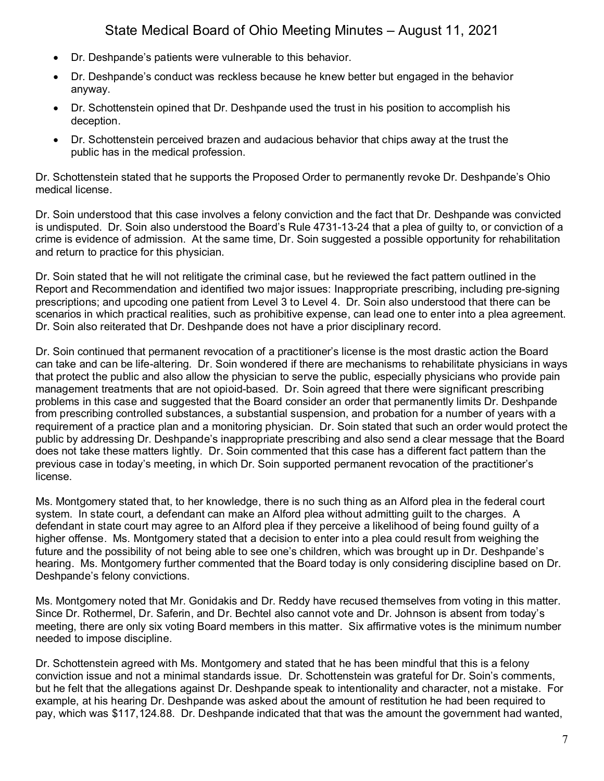- Dr. Deshpande's patients were vulnerable to this behavior.
- Dr. Deshpande's conduct was reckless because he knew better but engaged in the behavior anyway.
- Dr. Schottenstein opined that Dr. Deshpande used the trust in his position to accomplish his deception.
- Dr. Schottenstein perceived brazen and audacious behavior that chips away at the trust the public has in the medical profession.

Dr. Schottenstein stated that he supports the Proposed Order to permanently revoke Dr. Deshpande's Ohio medical license.

Dr. Soin understood that this case involves a felony conviction and the fact that Dr. Deshpande was convicted is undisputed. Dr. Soin also understood the Board's Rule 4731-13-24 that a plea of guilty to, or conviction of a crime is evidence of admission. At the same time, Dr. Soin suggested a possible opportunity for rehabilitation and return to practice for this physician.

Dr. Soin stated that he will not relitigate the criminal case, but he reviewed the fact pattern outlined in the Report and Recommendation and identified two major issues: Inappropriate prescribing, including pre-signing prescriptions; and upcoding one patient from Level 3 to Level 4. Dr. Soin also understood that there can be scenarios in which practical realities, such as prohibitive expense, can lead one to enter into a plea agreement. Dr. Soin also reiterated that Dr. Deshpande does not have a prior disciplinary record.

Dr. Soin continued that permanent revocation of a practitioner's license is the most drastic action the Board can take and can be life-altering. Dr. Soin wondered if there are mechanisms to rehabilitate physicians in ways that protect the public and also allow the physician to serve the public, especially physicians who provide pain management treatments that are not opioid-based. Dr. Soin agreed that there were significant prescribing problems in this case and suggested that the Board consider an order that permanently limits Dr. Deshpande from prescribing controlled substances, a substantial suspension, and probation for a number of years with a requirement of a practice plan and a monitoring physician. Dr. Soin stated that such an order would protect the public by addressing Dr. Deshpande's inappropriate prescribing and also send a clear message that the Board does not take these matters lightly. Dr. Soin commented that this case has a different fact pattern than the previous case in today's meeting, in which Dr. Soin supported permanent revocation of the practitioner's license.

Ms. Montgomery stated that, to her knowledge, there is no such thing as an Alford plea in the federal court system. In state court, a defendant can make an Alford plea without admitting guilt to the charges. A defendant in state court may agree to an Alford plea if they perceive a likelihood of being found guilty of a higher offense. Ms. Montgomery stated that a decision to enter into a plea could result from weighing the future and the possibility of not being able to see one's children, which was brought up in Dr. Deshpande's hearing. Ms. Montgomery further commented that the Board today is only considering discipline based on Dr. Deshpande's felony convictions.

Ms. Montgomery noted that Mr. Gonidakis and Dr. Reddy have recused themselves from voting in this matter. Since Dr. Rothermel, Dr. Saferin, and Dr. Bechtel also cannot vote and Dr. Johnson is absent from today's meeting, there are only six voting Board members in this matter. Six affirmative votes is the minimum number needed to impose discipline.

Dr. Schottenstein agreed with Ms. Montgomery and stated that he has been mindful that this is a felony conviction issue and not a minimal standards issue. Dr. Schottenstein was grateful for Dr. Soin's comments, but he felt that the allegations against Dr. Deshpande speak to intentionality and character, not a mistake. For example, at his hearing Dr. Deshpande was asked about the amount of restitution he had been required to pay, which was \$117,124.88. Dr. Deshpande indicated that that was the amount the government had wanted,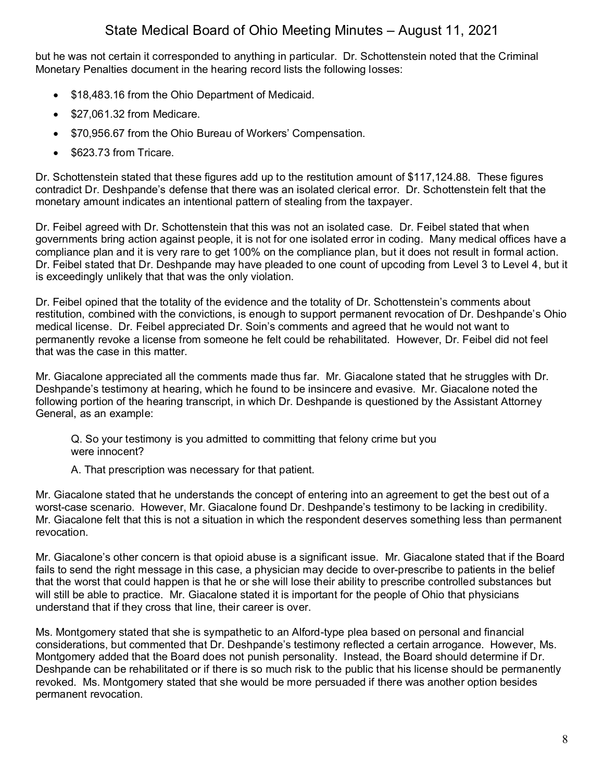but he was not certain it corresponded to anything in particular. Dr. Schottenstein noted that the Criminal Monetary Penalties document in the hearing record lists the following losses:

- \$18,483.16 from the Ohio Department of Medicaid.
- \$27,061.32 from Medicare.
- \$70,956.67 from the Ohio Bureau of Workers' Compensation.
- \$623.73 from Tricare.

Dr. Schottenstein stated that these figures add up to the restitution amount of \$117,124.88. These figures contradict Dr. Deshpande's defense that there was an isolated clerical error. Dr. Schottenstein felt that the monetary amount indicates an intentional pattern of stealing from the taxpayer.

Dr. Feibel agreed with Dr. Schottenstein that this was not an isolated case. Dr. Feibel stated that when governments bring action against people, it is not for one isolated error in coding. Many medical offices have a compliance plan and it is very rare to get 100% on the compliance plan, but it does not result in formal action. Dr. Feibel stated that Dr. Deshpande may have pleaded to one count of upcoding from Level 3 to Level 4, but it is exceedingly unlikely that that was the only violation.

Dr. Feibel opined that the totality of the evidence and the totality of Dr. Schottenstein's comments about restitution, combined with the convictions, is enough to support permanent revocation of Dr. Deshpande's Ohio medical license. Dr. Feibel appreciated Dr. Soin's comments and agreed that he would not want to permanently revoke a license from someone he felt could be rehabilitated. However, Dr. Feibel did not feel that was the case in this matter.

Mr. Giacalone appreciated all the comments made thus far. Mr. Giacalone stated that he struggles with Dr. Deshpande's testimony at hearing, which he found to be insincere and evasive. Mr. Giacalone noted the following portion of the hearing transcript, in which Dr. Deshpande is questioned by the Assistant Attorney General, as an example:

Q. So your testimony is you admitted to committing that felony crime but you were innocent?

A. That prescription was necessary for that patient.

Mr. Giacalone stated that he understands the concept of entering into an agreement to get the best out of a worst-case scenario. However, Mr. Giacalone found Dr. Deshpande's testimony to be lacking in credibility. Mr. Giacalone felt that this is not a situation in which the respondent deserves something less than permanent revocation.

Mr. Giacalone's other concern is that opioid abuse is a significant issue. Mr. Giacalone stated that if the Board fails to send the right message in this case, a physician may decide to over-prescribe to patients in the belief that the worst that could happen is that he or she will lose their ability to prescribe controlled substances but will still be able to practice. Mr. Giacalone stated it is important for the people of Ohio that physicians understand that if they cross that line, their career is over.

Ms. Montgomery stated that she is sympathetic to an Alford-type plea based on personal and financial considerations, but commented that Dr. Deshpande's testimony reflected a certain arrogance. However, Ms. Montgomery added that the Board does not punish personality. Instead, the Board should determine if Dr. Deshpande can be rehabilitated or if there is so much risk to the public that his license should be permanently revoked. Ms. Montgomery stated that she would be more persuaded if there was another option besides permanent revocation.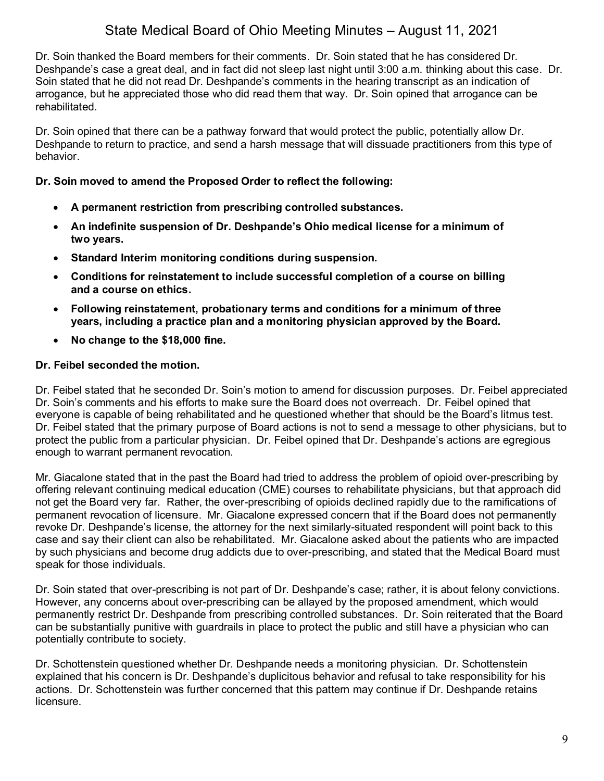Dr. Soin thanked the Board members for their comments. Dr. Soin stated that he has considered Dr. Deshpande's case a great deal, and in fact did not sleep last night until 3:00 a.m. thinking about this case. Dr. Soin stated that he did not read Dr. Deshpande's comments in the hearing transcript as an indication of arrogance, but he appreciated those who did read them that way. Dr. Soin opined that arrogance can be rehabilitated.

Dr. Soin opined that there can be a pathway forward that would protect the public, potentially allow Dr. Deshpande to return to practice, and send a harsh message that will dissuade practitioners from this type of behavior.

## **Dr. Soin moved to amend the Proposed Order to reflect the following:**

- **A permanent restriction from prescribing controlled substances.**
- **An indefinite suspension of Dr. Deshpande's Ohio medical license for a minimum of two years.**
- **Standard Interim monitoring conditions during suspension.**
- **Conditions for reinstatement to include successful completion of a course on billing and a course on ethics.**
- **Following reinstatement, probationary terms and conditions for a minimum of three years, including a practice plan and a monitoring physician approved by the Board.**
- **No change to the \$18,000 fine.**

## **Dr. Feibel seconded the motion.**

Dr. Feibel stated that he seconded Dr. Soin's motion to amend for discussion purposes. Dr. Feibel appreciated Dr. Soin's comments and his efforts to make sure the Board does not overreach. Dr. Feibel opined that everyone is capable of being rehabilitated and he questioned whether that should be the Board's litmus test. Dr. Feibel stated that the primary purpose of Board actions is not to send a message to other physicians, but to protect the public from a particular physician. Dr. Feibel opined that Dr. Deshpande's actions are egregious enough to warrant permanent revocation.

Mr. Giacalone stated that in the past the Board had tried to address the problem of opioid over-prescribing by offering relevant continuing medical education (CME) courses to rehabilitate physicians, but that approach did not get the Board very far. Rather, the over-prescribing of opioids declined rapidly due to the ramifications of permanent revocation of licensure. Mr. Giacalone expressed concern that if the Board does not permanently revoke Dr. Deshpande's license, the attorney for the next similarly-situated respondent will point back to this case and say their client can also be rehabilitated. Mr. Giacalone asked about the patients who are impacted by such physicians and become drug addicts due to over-prescribing, and stated that the Medical Board must speak for those individuals.

Dr. Soin stated that over-prescribing is not part of Dr. Deshpande's case; rather, it is about felony convictions. However, any concerns about over-prescribing can be allayed by the proposed amendment, which would permanently restrict Dr. Deshpande from prescribing controlled substances. Dr. Soin reiterated that the Board can be substantially punitive with guardrails in place to protect the public and still have a physician who can potentially contribute to society.

Dr. Schottenstein questioned whether Dr. Deshpande needs a monitoring physician. Dr. Schottenstein explained that his concern is Dr. Deshpande's duplicitous behavior and refusal to take responsibility for his actions. Dr. Schottenstein was further concerned that this pattern may continue if Dr. Deshpande retains licensure.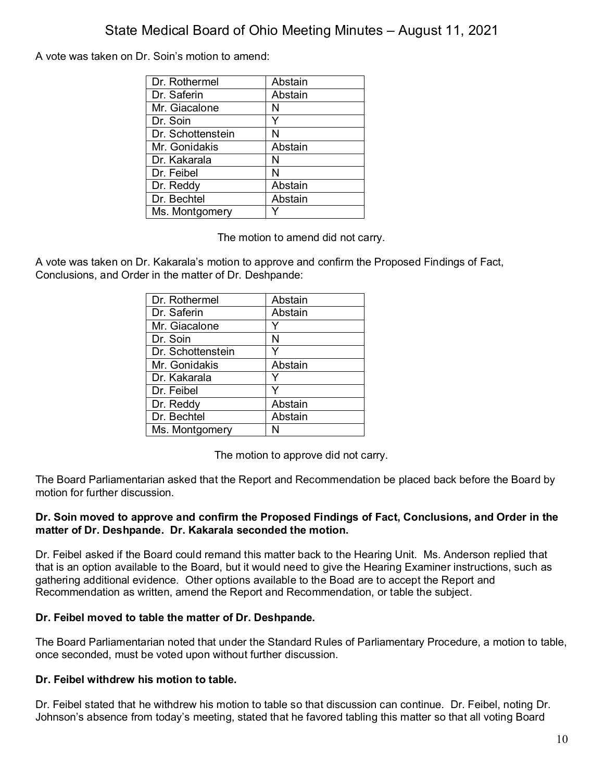A vote was taken on Dr. Soin's motion to amend:

| Dr. Rothermel     | Abstain |
|-------------------|---------|
| Dr. Saferin       | Abstain |
| Mr. Giacalone     | N       |
| Dr. Soin          |         |
| Dr. Schottenstein | N       |
| Mr. Gonidakis     | Abstain |
| Dr. Kakarala      | N       |
| Dr. Feibel        | N       |
| Dr. Reddy         | Abstain |
| Dr. Bechtel       | Abstain |
| Ms. Montgomery    |         |

The motion to amend did not carry.

A vote was taken on Dr. Kakarala's motion to approve and confirm the Proposed Findings of Fact, Conclusions, and Order in the matter of Dr. Deshpande:

| Dr. Rothermel     | Abstain |
|-------------------|---------|
| Dr. Saferin       | Abstain |
| Mr. Giacalone     |         |
| Dr. Soin          | Ν       |
| Dr. Schottenstein | Y       |
| Mr. Gonidakis     | Abstain |
| Dr. Kakarala      |         |
| Dr. Feibel        | Y       |
| Dr. Reddy         | Abstain |
| Dr. Bechtel       | Abstain |
| Ms. Montgomery    |         |

The motion to approve did not carry.

The Board Parliamentarian asked that the Report and Recommendation be placed back before the Board by motion for further discussion.

#### **Dr. Soin moved to approve and confirm the Proposed Findings of Fact, Conclusions, and Order in the matter of Dr. Deshpande. Dr. Kakarala seconded the motion.**

Dr. Feibel asked if the Board could remand this matter back to the Hearing Unit. Ms. Anderson replied that that is an option available to the Board, but it would need to give the Hearing Examiner instructions, such as gathering additional evidence. Other options available to the Boad are to accept the Report and Recommendation as written, amend the Report and Recommendation, or table the subject.

## **Dr. Feibel moved to table the matter of Dr. Deshpande.**

The Board Parliamentarian noted that under the Standard Rules of Parliamentary Procedure, a motion to table, once seconded, must be voted upon without further discussion.

## **Dr. Feibel withdrew his motion to table.**

Dr. Feibel stated that he withdrew his motion to table so that discussion can continue. Dr. Feibel, noting Dr. Johnson's absence from today's meeting, stated that he favored tabling this matter so that all voting Board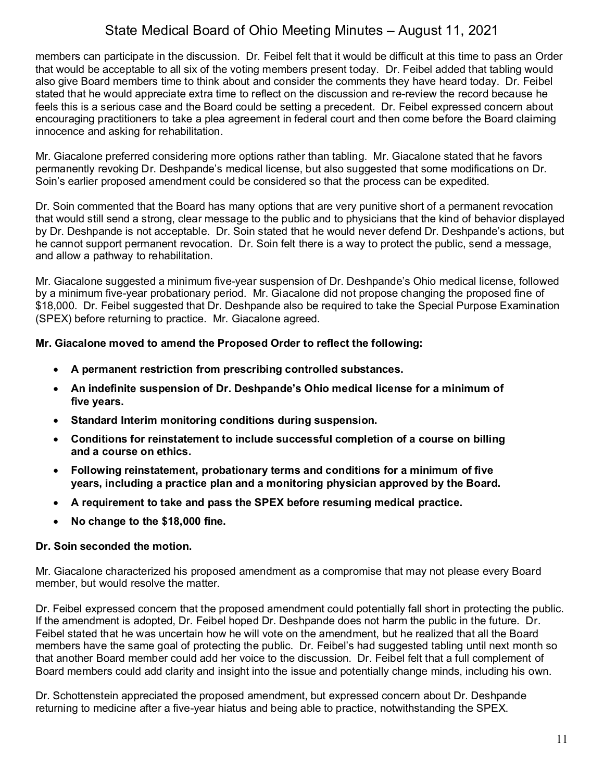members can participate in the discussion. Dr. Feibel felt that it would be difficult at this time to pass an Order that would be acceptable to all six of the voting members present today. Dr. Feibel added that tabling would also give Board members time to think about and consider the comments they have heard today. Dr. Feibel stated that he would appreciate extra time to reflect on the discussion and re-review the record because he feels this is a serious case and the Board could be setting a precedent. Dr. Feibel expressed concern about encouraging practitioners to take a plea agreement in federal court and then come before the Board claiming innocence and asking for rehabilitation.

Mr. Giacalone preferred considering more options rather than tabling. Mr. Giacalone stated that he favors permanently revoking Dr. Deshpande's medical license, but also suggested that some modifications on Dr. Soin's earlier proposed amendment could be considered so that the process can be expedited.

Dr. Soin commented that the Board has many options that are very punitive short of a permanent revocation that would still send a strong, clear message to the public and to physicians that the kind of behavior displayed by Dr. Deshpande is not acceptable. Dr. Soin stated that he would never defend Dr. Deshpande's actions, but he cannot support permanent revocation. Dr. Soin felt there is a way to protect the public, send a message, and allow a pathway to rehabilitation.

Mr. Giacalone suggested a minimum five-year suspension of Dr. Deshpande's Ohio medical license, followed by a minimum five-year probationary period. Mr. Giacalone did not propose changing the proposed fine of \$18,000. Dr. Feibel suggested that Dr. Deshpande also be required to take the Special Purpose Examination (SPEX) before returning to practice. Mr. Giacalone agreed.

#### **Mr. Giacalone moved to amend the Proposed Order to reflect the following:**

- **A permanent restriction from prescribing controlled substances.**
- **An indefinite suspension of Dr. Deshpande's Ohio medical license for a minimum of five years.**
- **Standard Interim monitoring conditions during suspension.**
- **Conditions for reinstatement to include successful completion of a course on billing and a course on ethics.**
- **Following reinstatement, probationary terms and conditions for a minimum of five years, including a practice plan and a monitoring physician approved by the Board.**
- **A requirement to take and pass the SPEX before resuming medical practice.**
- **No change to the \$18,000 fine.**

## **Dr. Soin seconded the motion.**

Mr. Giacalone characterized his proposed amendment as a compromise that may not please every Board member, but would resolve the matter.

Dr. Feibel expressed concern that the proposed amendment could potentially fall short in protecting the public. If the amendment is adopted, Dr. Feibel hoped Dr. Deshpande does not harm the public in the future. Dr. Feibel stated that he was uncertain how he will vote on the amendment, but he realized that all the Board members have the same goal of protecting the public. Dr. Feibel's had suggested tabling until next month so that another Board member could add her voice to the discussion. Dr. Feibel felt that a full complement of Board members could add clarity and insight into the issue and potentially change minds, including his own.

Dr. Schottenstein appreciated the proposed amendment, but expressed concern about Dr. Deshpande returning to medicine after a five-year hiatus and being able to practice, notwithstanding the SPEX.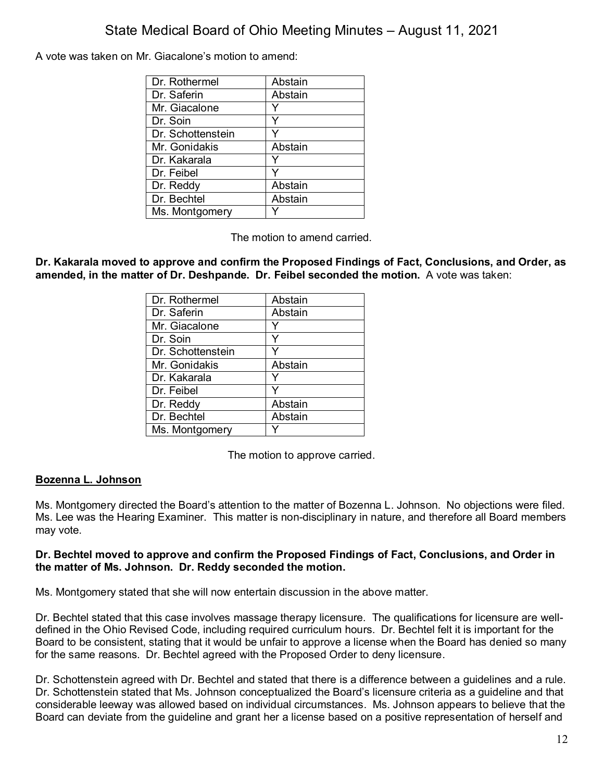A vote was taken on Mr. Giacalone's motion to amend:

| Dr. Rothermel     | Abstain |
|-------------------|---------|
| Dr. Saferin       | Abstain |
| Mr. Giacalone     |         |
| Dr. Soin          |         |
| Dr. Schottenstein |         |
| Mr. Gonidakis     | Abstain |
| Dr. Kakarala      |         |
| Dr. Feibel        |         |
| Dr. Reddy         | Abstain |
| Dr. Bechtel       | Abstain |
| Ms. Montgomery    |         |

The motion to amend carried.

**Dr. Kakarala moved to approve and confirm the Proposed Findings of Fact, Conclusions, and Order, as amended, in the matter of Dr. Deshpande. Dr. Feibel seconded the motion.** A vote was taken:

| Dr. Rothermel     | Abstain |
|-------------------|---------|
| Dr. Saferin       | Abstain |
| Mr. Giacalone     |         |
| Dr. Soin          | Y       |
| Dr. Schottenstein |         |
| Mr. Gonidakis     | Abstain |
| Dr. Kakarala      |         |
| Dr. Feibel        | Y       |
| Dr. Reddy         | Abstain |
| Dr. Bechtel       | Abstain |
| Ms. Montgomery    |         |

The motion to approve carried.

## **Bozenna L. Johnson**

Ms. Montgomery directed the Board's attention to the matter of Bozenna L. Johnson. No objections were filed. Ms. Lee was the Hearing Examiner. This matter is non-disciplinary in nature, and therefore all Board members may vote.

#### **Dr. Bechtel moved to approve and confirm the Proposed Findings of Fact, Conclusions, and Order in the matter of Ms. Johnson. Dr. Reddy seconded the motion.**

Ms. Montgomery stated that she will now entertain discussion in the above matter.

Dr. Bechtel stated that this case involves massage therapy licensure. The qualifications for licensure are welldefined in the Ohio Revised Code, including required curriculum hours. Dr. Bechtel felt it is important for the Board to be consistent, stating that it would be unfair to approve a license when the Board has denied so many for the same reasons. Dr. Bechtel agreed with the Proposed Order to deny licensure.

Dr. Schottenstein agreed with Dr. Bechtel and stated that there is a difference between a guidelines and a rule. Dr. Schottenstein stated that Ms. Johnson conceptualized the Board's licensure criteria as a guideline and that considerable leeway was allowed based on individual circumstances. Ms. Johnson appears to believe that the Board can deviate from the guideline and grant her a license based on a positive representation of herself and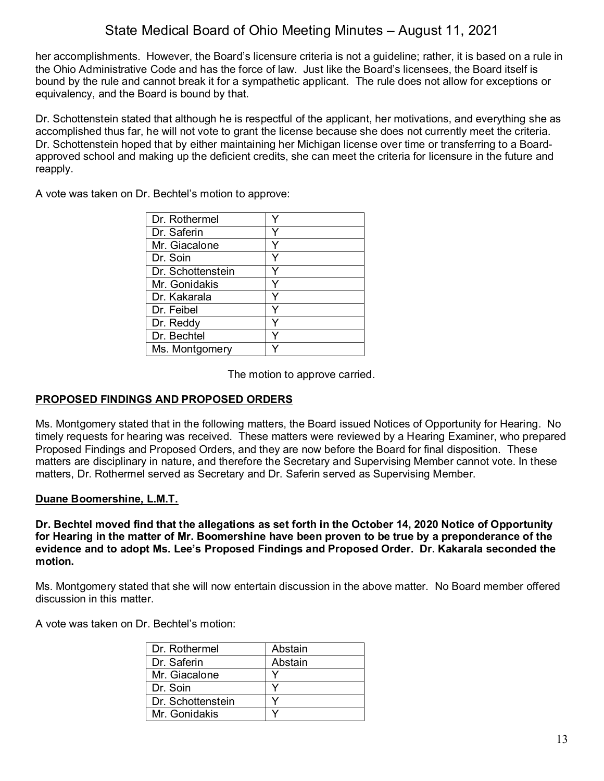her accomplishments. However, the Board's licensure criteria is not a guideline; rather, it is based on a rule in the Ohio Administrative Code and has the force of law. Just like the Board's licensees, the Board itself is bound by the rule and cannot break it for a sympathetic applicant. The rule does not allow for exceptions or equivalency, and the Board is bound by that.

Dr. Schottenstein stated that although he is respectful of the applicant, her motivations, and everything she as accomplished thus far, he will not vote to grant the license because she does not currently meet the criteria. Dr. Schottenstein hoped that by either maintaining her Michigan license over time or transferring to a Boardapproved school and making up the deficient credits, she can meet the criteria for licensure in the future and reapply.

A vote was taken on Dr. Bechtel's motion to approve:

| Dr. Rothermel     |   |
|-------------------|---|
| Dr. Saferin       | v |
| Mr. Giacalone     |   |
| Dr. Soin          |   |
| Dr. Schottenstein |   |
| Mr. Gonidakis     |   |
| Dr. Kakarala      | v |
| Dr. Feibel        |   |
| Dr. Reddy         |   |
| Dr. Bechtel       |   |
| Ms. Montgomery    |   |

The motion to approve carried.

## **PROPOSED FINDINGS AND PROPOSED ORDERS**

Ms. Montgomery stated that in the following matters, the Board issued Notices of Opportunity for Hearing. No timely requests for hearing was received. These matters were reviewed by a Hearing Examiner, who prepared Proposed Findings and Proposed Orders, and they are now before the Board for final disposition. These matters are disciplinary in nature, and therefore the Secretary and Supervising Member cannot vote. In these matters, Dr. Rothermel served as Secretary and Dr. Saferin served as Supervising Member.

## **Duane Boomershine, L.M.T.**

**Dr. Bechtel moved find that the allegations as set forth in the October 14, 2020 Notice of Opportunity for Hearing in the matter of Mr. Boomershine have been proven to be true by a preponderance of the evidence and to adopt Ms. Lee's Proposed Findings and Proposed Order. Dr. Kakarala seconded the motion.**

Ms. Montgomery stated that she will now entertain discussion in the above matter. No Board member offered discussion in this matter.

A vote was taken on Dr. Bechtel's motion:

| Dr. Rothermel     | Abstain |
|-------------------|---------|
| Dr. Saferin       | Abstain |
| Mr. Giacalone     |         |
| Dr. Soin          |         |
| Dr. Schottenstein |         |
| Mr. Gonidakis     |         |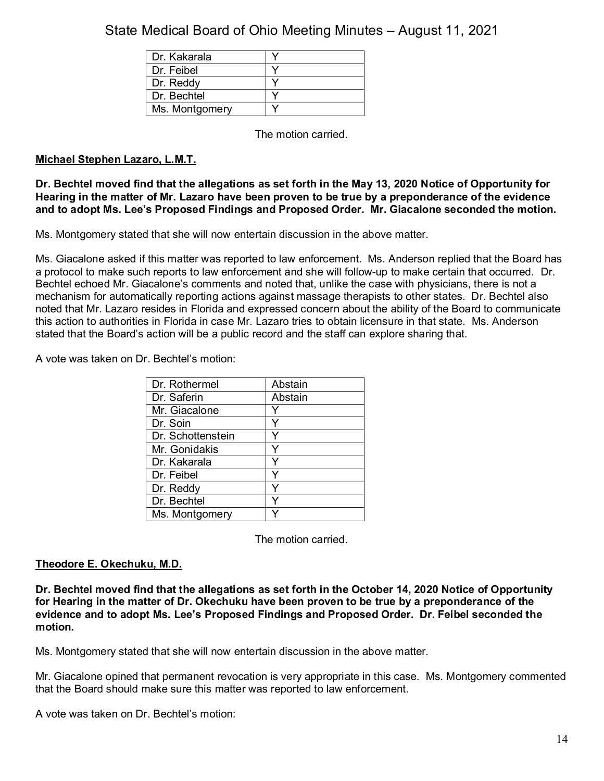| Dr. Kakarala   |  |
|----------------|--|
| Dr. Feibel     |  |
| Dr. Reddy      |  |
| Dr. Bechtel    |  |
| Ms. Montgomery |  |

The motion carried.

## **Michael Stephen Lazaro, L.M.T.**

**Dr. Bechtel moved find that the allegations as set forth in the May 13, 2020 Notice of Opportunity for Hearing in the matter of Mr. Lazaro have been proven to be true by a preponderance of the evidence and to adopt Ms. Lee's Proposed Findings and Proposed Order. Mr. Giacalone seconded the motion.**

Ms. Montgomery stated that she will now entertain discussion in the above matter.

Ms. Giacalone asked if this matter was reported to law enforcement. Ms. Anderson replied that the Board has a protocol to make such reports to law enforcement and she will follow-up to make certain that occurred. Dr. Bechtel echoed Mr. Giacalone's comments and noted that, unlike the case with physicians, there is not a mechanism for automatically reporting actions against massage therapists to other states. Dr. Bechtel also noted that Mr. Lazaro resides in Florida and expressed concern about the ability of the Board to communicate this action to authorities in Florida in case Mr. Lazaro tries to obtain licensure in that state. Ms. Anderson stated that the Board's action will be a public record and the staff can explore sharing that.

A vote was taken on Dr. Bechtel's motion:

| Dr. Rothermel     | Abstain |
|-------------------|---------|
| Dr. Saferin       | Abstain |
| Mr. Giacalone     |         |
| Dr. Soin          |         |
| Dr. Schottenstein |         |
| Mr. Gonidakis     |         |
| Dr. Kakarala      |         |
| Dr. Feibel        |         |
| Dr. Reddy         |         |
| Dr. Bechtel       |         |
| Ms. Montgomery    |         |

The motion carried.

## **Theodore E. Okechuku, M.D.**

**Dr. Bechtel moved find that the allegations as set forth in the October 14, 2020 Notice of Opportunity for Hearing in the matter of Dr. Okechuku have been proven to be true by a preponderance of the evidence and to adopt Ms. Lee's Proposed Findings and Proposed Order. Dr. Feibel seconded the motion.**

Ms. Montgomery stated that she will now entertain discussion in the above matter.

Mr. Giacalone opined that permanent revocation is very appropriate in this case. Ms. Montgomery commented that the Board should make sure this matter was reported to law enforcement.

A vote was taken on Dr. Bechtel's motion: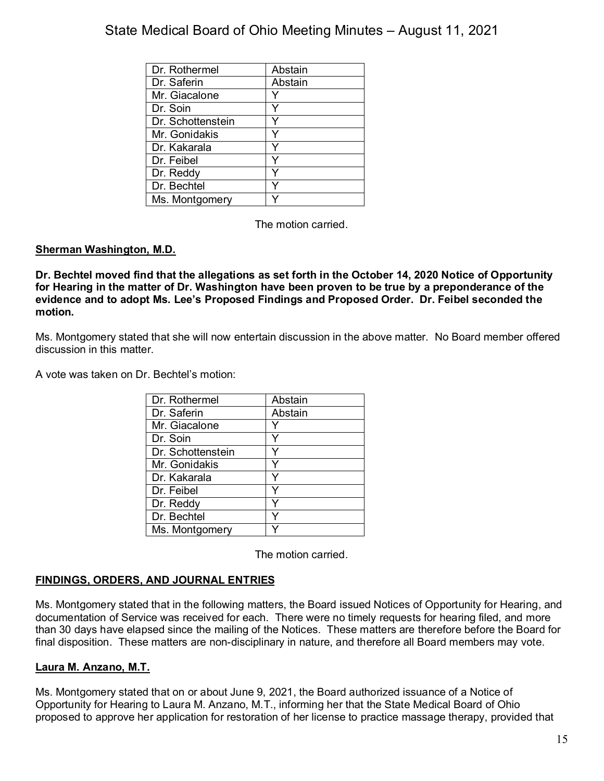| Dr. Rothermel     | Abstain |
|-------------------|---------|
| Dr. Saferin       | Abstain |
| Mr. Giacalone     |         |
| Dr. Soin          |         |
| Dr. Schottenstein |         |
| Mr. Gonidakis     |         |
| Dr. Kakarala      |         |
| Dr. Feibel        |         |
| Dr. Reddy         |         |
| Dr. Bechtel       |         |
| Ms. Montgomery    |         |

The motion carried.

## **Sherman Washington, M.D.**

**Dr. Bechtel moved find that the allegations as set forth in the October 14, 2020 Notice of Opportunity for Hearing in the matter of Dr. Washington have been proven to be true by a preponderance of the evidence and to adopt Ms. Lee's Proposed Findings and Proposed Order. Dr. Feibel seconded the motion.**

Ms. Montgomery stated that she will now entertain discussion in the above matter. No Board member offered discussion in this matter.

A vote was taken on Dr. Bechtel's motion:

| Dr. Rothermel     | Abstain |
|-------------------|---------|
| Dr. Saferin       | Abstain |
| Mr. Giacalone     |         |
| Dr. Soin          | Y       |
| Dr. Schottenstein |         |
| Mr. Gonidakis     | Y       |
| Dr. Kakarala      |         |
| Dr. Feibel        |         |
| Dr. Reddy         |         |
| Dr. Bechtel       |         |
| Ms. Montgomery    |         |

The motion carried.

## **FINDINGS, ORDERS, AND JOURNAL ENTRIES**

Ms. Montgomery stated that in the following matters, the Board issued Notices of Opportunity for Hearing, and documentation of Service was received for each. There were no timely requests for hearing filed, and more than 30 days have elapsed since the mailing of the Notices. These matters are therefore before the Board for final disposition. These matters are non-disciplinary in nature, and therefore all Board members may vote.

## **Laura M. Anzano, M.T.**

Ms. Montgomery stated that on or about June 9, 2021, the Board authorized issuance of a Notice of Opportunity for Hearing to Laura M. Anzano, M.T., informing her that the State Medical Board of Ohio proposed to approve her application for restoration of her license to practice massage therapy, provided that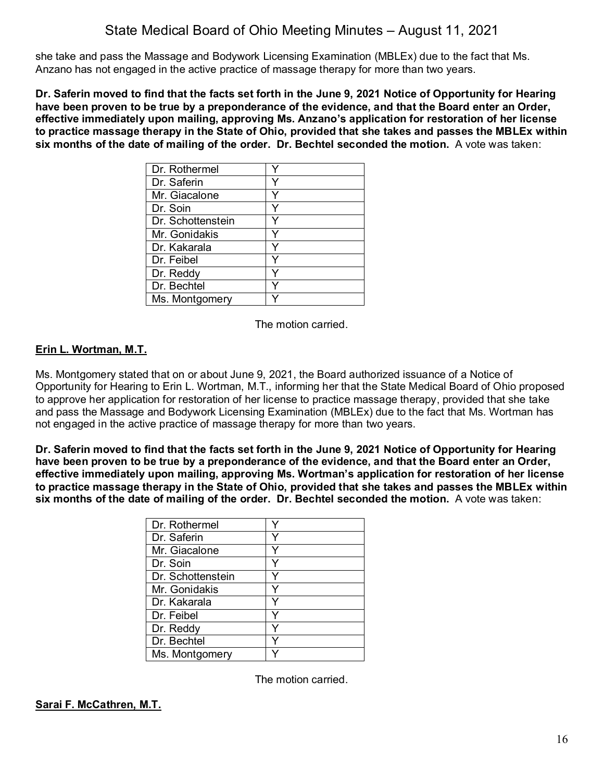she take and pass the Massage and Bodywork Licensing Examination (MBLEx) due to the fact that Ms. Anzano has not engaged in the active practice of massage therapy for more than two years.

**Dr. Saferin moved to find that the facts set forth in the June 9, 2021 Notice of Opportunity for Hearing have been proven to be true by a preponderance of the evidence, and that the Board enter an Order, effective immediately upon mailing, approving Ms. Anzano's application for restoration of her license to practice massage therapy in the State of Ohio, provided that she takes and passes the MBLEx within six months of the date of mailing of the order. Dr. Bechtel seconded the motion.** A vote was taken:

| Dr. Rothermel     |  |
|-------------------|--|
| Dr. Saferin       |  |
| Mr. Giacalone     |  |
| Dr. Soin          |  |
| Dr. Schottenstein |  |
| Mr. Gonidakis     |  |
| Dr. Kakarala      |  |
| Dr. Feibel        |  |
| Dr. Reddy         |  |
| Dr. Bechtel       |  |
| Ms. Montgomery    |  |

The motion carried.

## **Erin L. Wortman, M.T.**

Ms. Montgomery stated that on or about June 9, 2021, the Board authorized issuance of a Notice of Opportunity for Hearing to Erin L. Wortman, M.T., informing her that the State Medical Board of Ohio proposed to approve her application for restoration of her license to practice massage therapy, provided that she take and pass the Massage and Bodywork Licensing Examination (MBLEx) due to the fact that Ms. Wortman has not engaged in the active practice of massage therapy for more than two years.

**Dr. Saferin moved to find that the facts set forth in the June 9, 2021 Notice of Opportunity for Hearing have been proven to be true by a preponderance of the evidence, and that the Board enter an Order, effective immediately upon mailing, approving Ms. Wortman's application for restoration of her license to practice massage therapy in the State of Ohio, provided that she takes and passes the MBLEx within six months of the date of mailing of the order. Dr. Bechtel seconded the motion.** A vote was taken:

| Dr. Rothermel     |  |
|-------------------|--|
| Dr. Saferin       |  |
| Mr. Giacalone     |  |
| Dr. Soin          |  |
| Dr. Schottenstein |  |
| Mr. Gonidakis     |  |
| Dr. Kakarala      |  |
| Dr. Feibel        |  |
| Dr. Reddy         |  |
| Dr. Bechtel       |  |
| Ms. Montgomery    |  |

The motion carried.

## **Sarai F. McCathren, M.T.**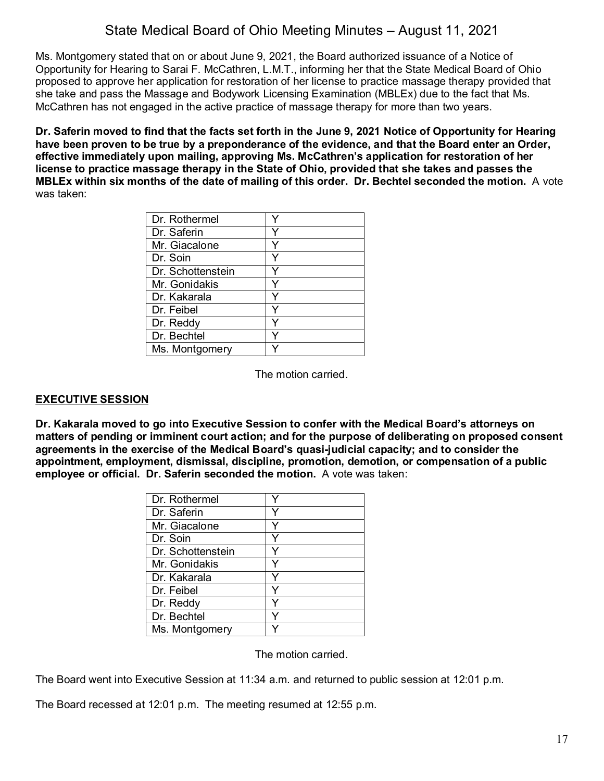Ms. Montgomery stated that on or about June 9, 2021, the Board authorized issuance of a Notice of Opportunity for Hearing to Sarai F. McCathren, L.M.T., informing her that the State Medical Board of Ohio proposed to approve her application for restoration of her license to practice massage therapy provided that she take and pass the Massage and Bodywork Licensing Examination (MBLEx) due to the fact that Ms. McCathren has not engaged in the active practice of massage therapy for more than two years.

**Dr. Saferin moved to find that the facts set forth in the June 9, 2021 Notice of Opportunity for Hearing have been proven to be true by a preponderance of the evidence, and that the Board enter an Order, effective immediately upon mailing, approving Ms. McCathren's application for restoration of her license to practice massage therapy in the State of Ohio, provided that she takes and passes the MBLEx within six months of the date of mailing of this order. Dr. Bechtel seconded the motion.** A vote was taken:

| Dr. Rothermel     |  |
|-------------------|--|
| Dr. Saferin       |  |
| Mr. Giacalone     |  |
| Dr. Soin          |  |
| Dr. Schottenstein |  |
| Mr. Gonidakis     |  |
| Dr. Kakarala      |  |
| Dr. Feibel        |  |
| Dr. Reddy         |  |
| Dr. Bechtel       |  |
| Ms. Montgomery    |  |

The motion carried.

## **EXECUTIVE SESSION**

**Dr. Kakarala moved to go into Executive Session to confer with the Medical Board's attorneys on matters of pending or imminent court action; and for the purpose of deliberating on proposed consent agreements in the exercise of the Medical Board's quasi-judicial capacity; and to consider the appointment, employment, dismissal, discipline, promotion, demotion, or compensation of a public employee or official. Dr. Saferin seconded the motion.** A vote was taken:

| Dr. Rothermel     |   |
|-------------------|---|
| Dr. Saferin       |   |
| Mr. Giacalone     |   |
| Dr. Soin          |   |
| Dr. Schottenstein |   |
| Mr. Gonidakis     | Y |
| Dr. Kakarala      |   |
| Dr. Feibel        | v |
| Dr. Reddy         | v |
| Dr. Bechtel       |   |
| Ms. Montgomery    |   |

The motion carried.

The Board went into Executive Session at 11:34 a.m. and returned to public session at 12:01 p.m.

The Board recessed at 12:01 p.m. The meeting resumed at 12:55 p.m.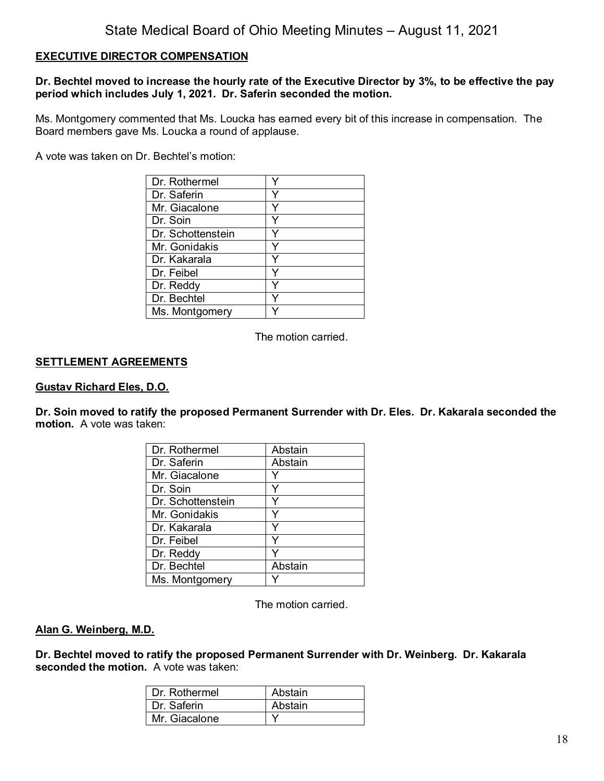#### **EXECUTIVE DIRECTOR COMPENSATION**

#### **Dr. Bechtel moved to increase the hourly rate of the Executive Director by 3%, to be effective the pay period which includes July 1, 2021. Dr. Saferin seconded the motion.**

Ms. Montgomery commented that Ms. Loucka has earned every bit of this increase in compensation. The Board members gave Ms. Loucka a round of applause.

A vote was taken on Dr. Bechtel's motion:

| Dr. Rothermel     |   |
|-------------------|---|
| Dr. Saferin       | v |
| Mr. Giacalone     | v |
| Dr. Soin          |   |
| Dr. Schottenstein | v |
| Mr. Gonidakis     | Y |
| Dr. Kakarala      |   |
| Dr. Feibel        | ∨ |
| Dr. Reddy         | v |
| Dr. Bechtel       |   |
| Ms. Montgomery    |   |

The motion carried.

#### **SETTLEMENT AGREEMENTS**

#### **Gustav Richard Eles, D.O.**

**Dr. Soin moved to ratify the proposed Permanent Surrender with Dr. Eles. Dr. Kakarala seconded the motion.** A vote was taken:

| Dr. Rothermel     | Abstain |
|-------------------|---------|
| Dr. Saferin       | Abstain |
| Mr. Giacalone     |         |
| Dr. Soin          |         |
| Dr. Schottenstein | Υ       |
| Mr. Gonidakis     | v       |
| Dr. Kakarala      |         |
| Dr. Feibel        | Y       |
| Dr. Reddy         |         |
| Dr. Bechtel       | Abstain |
| Ms. Montgomery    |         |

The motion carried.

#### **Alan G. Weinberg, M.D.**

**Dr. Bechtel moved to ratify the proposed Permanent Surrender with Dr. Weinberg. Dr. Kakarala seconded the motion.** A vote was taken:

| Dr. Rothermel | Abstain |
|---------------|---------|
| Dr. Saferin   | Abstain |
| Mr. Giacalone |         |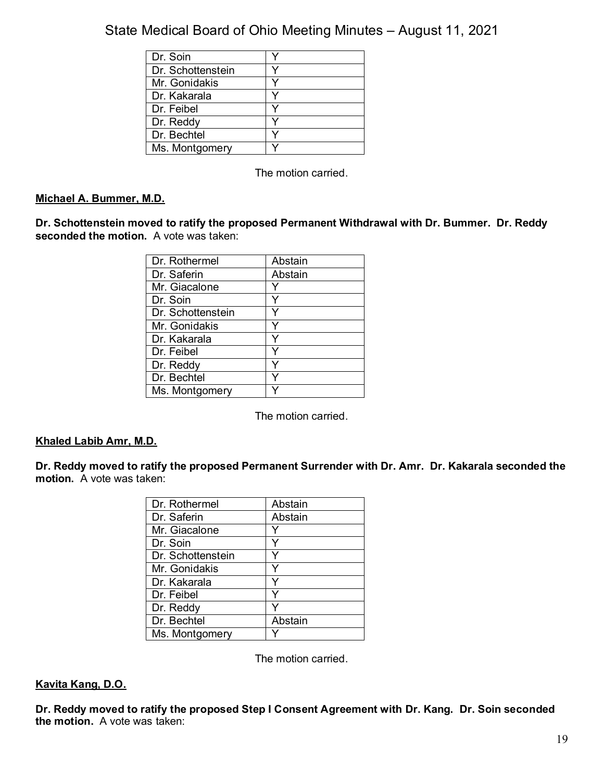| Dr. Soin          |  |
|-------------------|--|
| Dr. Schottenstein |  |
| Mr. Gonidakis     |  |
| Dr. Kakarala      |  |
| Dr. Feibel        |  |
| Dr. Reddy         |  |
| Dr. Bechtel       |  |
| Ms. Montgomery    |  |

The motion carried.

## **Michael A. Bummer, M.D.**

**Dr. Schottenstein moved to ratify the proposed Permanent Withdrawal with Dr. Bummer. Dr. Reddy seconded the motion.** A vote was taken:

| Dr. Rothermel     | Abstain |
|-------------------|---------|
| Dr. Saferin       | Abstain |
| Mr. Giacalone     |         |
| Dr. Soin          |         |
| Dr. Schottenstein |         |
| Mr. Gonidakis     |         |
| Dr. Kakarala      |         |
| Dr. Feibel        |         |
| Dr. Reddy         |         |
| Dr. Bechtel       |         |
| Ms. Montgomery    |         |

The motion carried.

## **Khaled Labib Amr, M.D.**

**Dr. Reddy moved to ratify the proposed Permanent Surrender with Dr. Amr. Dr. Kakarala seconded the motion.** A vote was taken:

| Dr. Rothermel     | Abstain |
|-------------------|---------|
| Dr. Saferin       | Abstain |
| Mr. Giacalone     |         |
| Dr. Soin          | Y       |
| Dr. Schottenstein |         |
| Mr. Gonidakis     | Y       |
| Dr. Kakarala      |         |
| Dr. Feibel        | v       |
| Dr. Reddy         |         |
| Dr. Bechtel       | Abstain |
| Ms. Montgomery    |         |

The motion carried.

#### **Kavita Kang, D.O.**

**Dr. Reddy moved to ratify the proposed Step I Consent Agreement with Dr. Kang. Dr. Soin seconded the motion.** A vote was taken: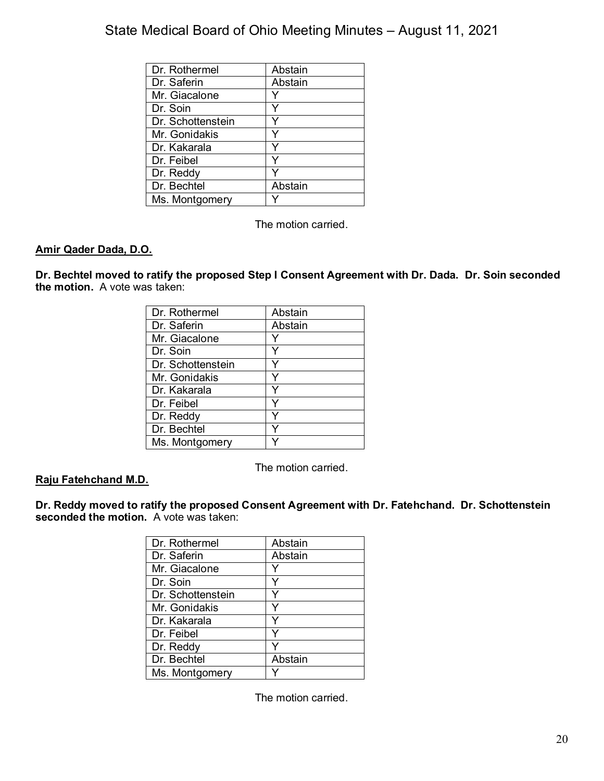| Dr. Rothermel     | Abstain |
|-------------------|---------|
| Dr. Saferin       | Abstain |
| Mr. Giacalone     |         |
| Dr. Soin          |         |
| Dr. Schottenstein |         |
| Mr. Gonidakis     |         |
| Dr. Kakarala      |         |
| Dr. Feibel        |         |
| Dr. Reddy         |         |
| Dr. Bechtel       | Abstain |
| Ms. Montgomery    |         |

The motion carried.

#### **Amir Qader Dada, D.O.**

**Dr. Bechtel moved to ratify the proposed Step I Consent Agreement with Dr. Dada. Dr. Soin seconded the motion.** A vote was taken:

| Dr. Rothermel     | Abstain |
|-------------------|---------|
| Dr. Saferin       | Abstain |
| Mr. Giacalone     |         |
| Dr. Soin          |         |
| Dr. Schottenstein | Y       |
| Mr. Gonidakis     | Y       |
| Dr. Kakarala      |         |
| Dr. Feibel        | Y       |
| Dr. Reddy         |         |
| Dr. Bechtel       |         |
| Ms. Montgomery    |         |

The motion carried.

#### **Raju Fatehchand M.D.**

**Dr. Reddy moved to ratify the proposed Consent Agreement with Dr. Fatehchand. Dr. Schottenstein seconded the motion.** A vote was taken:

| Dr. Rothermel     | Abstain |
|-------------------|---------|
| Dr. Saferin       | Abstain |
| Mr. Giacalone     |         |
| Dr. Soin          |         |
| Dr. Schottenstein |         |
| Mr. Gonidakis     | Y       |
| Dr. Kakarala      |         |
| Dr. Feibel        |         |
| Dr. Reddy         |         |
| Dr. Bechtel       | Abstain |
| Ms. Montgomery    |         |

The motion carried.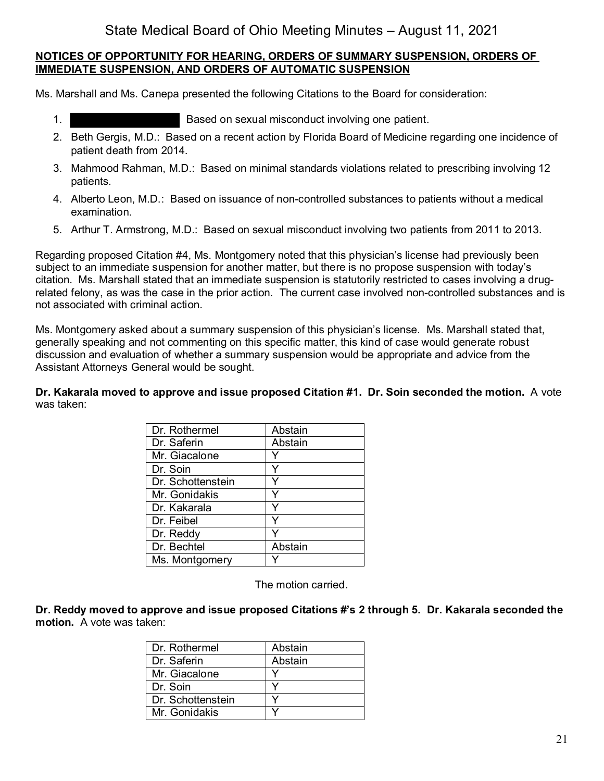## **NOTICES OF OPPORTUNITY FOR HEARING, ORDERS OF SUMMARY SUSPENSION, ORDERS OF IMMEDIATE SUSPENSION, AND ORDERS OF AUTOMATIC SUSPENSION**

Ms. Marshall and Ms. Canepa presented the following Citations to the Board for consideration:

- 1. Based on sexual misconduct involving one patient.
- 2. Beth Gergis, M.D.: Based on a recent action by Florida Board of Medicine regarding one incidence of patient death from 2014.
- 3. Mahmood Rahman, M.D.: Based on minimal standards violations related to prescribing involving 12 patients.
- 4. Alberto Leon, M.D.: Based on issuance of non-controlled substances to patients without a medical examination.
- 5. Arthur T. Armstrong, M.D.: Based on sexual misconduct involving two patients from 2011 to 2013.

Regarding proposed Citation #4, Ms. Montgomery noted that this physician's license had previously been subject to an immediate suspension for another matter, but there is no propose suspension with today's citation. Ms. Marshall stated that an immediate suspension is statutorily restricted to cases involving a drugrelated felony, as was the case in the prior action. The current case involved non-controlled substances and is not associated with criminal action.

Ms. Montgomery asked about a summary suspension of this physician's license. Ms. Marshall stated that, generally speaking and not commenting on this specific matter, this kind of case would generate robust discussion and evaluation of whether a summary suspension would be appropriate and advice from the Assistant Attorneys General would be sought.

**Dr. Kakarala moved to approve and issue proposed Citation #1. Dr. Soin seconded the motion.** A vote was taken:

| Dr. Rothermel     | Abstain |
|-------------------|---------|
| Dr. Saferin       | Abstain |
| Mr. Giacalone     |         |
| Dr. Soin          | Y       |
| Dr. Schottenstein |         |
| Mr. Gonidakis     | Y       |
| Dr. Kakarala      |         |
| Dr. Feibel        | ٧       |
| Dr. Reddy         |         |
| Dr. Bechtel       | Abstain |
| Ms. Montgomery    |         |

The motion carried.

**Dr. Reddy moved to approve and issue proposed Citations #'s 2 through 5. Dr. Kakarala seconded the motion.** A vote was taken:

| Dr. Rothermel     | Abstain |
|-------------------|---------|
| Dr. Saferin       | Abstain |
| Mr. Giacalone     |         |
| Dr. Soin          |         |
| Dr. Schottenstein |         |
| Mr. Gonidakis     |         |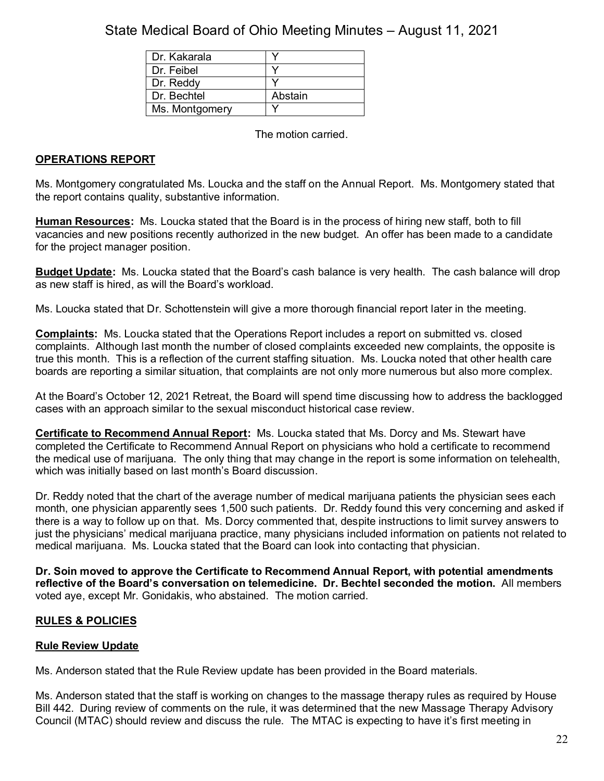| Dr. Kakarala   |         |
|----------------|---------|
| Dr. Feibel     |         |
| Dr. Reddy      |         |
| Dr. Bechtel    | Abstain |
| Ms. Montgomery |         |

The motion carried.

## **OPERATIONS REPORT**

Ms. Montgomery congratulated Ms. Loucka and the staff on the Annual Report. Ms. Montgomery stated that the report contains quality, substantive information.

**Human Resources:** Ms. Loucka stated that the Board is in the process of hiring new staff, both to fill vacancies and new positions recently authorized in the new budget. An offer has been made to a candidate for the project manager position.

**Budget Update:** Ms. Loucka stated that the Board's cash balance is very health. The cash balance will drop as new staff is hired, as will the Board's workload.

Ms. Loucka stated that Dr. Schottenstein will give a more thorough financial report later in the meeting.

**Complaints:** Ms. Loucka stated that the Operations Report includes a report on submitted vs. closed complaints. Although last month the number of closed complaints exceeded new complaints, the opposite is true this month. This is a reflection of the current staffing situation. Ms. Loucka noted that other health care boards are reporting a similar situation, that complaints are not only more numerous but also more complex.

At the Board's October 12, 2021 Retreat, the Board will spend time discussing how to address the backlogged cases with an approach similar to the sexual misconduct historical case review.

**Certificate to Recommend Annual Report:** Ms. Loucka stated that Ms. Dorcy and Ms. Stewart have completed the Certificate to Recommend Annual Report on physicians who hold a certificate to recommend the medical use of marijuana. The only thing that may change in the report is some information on telehealth, which was initially based on last month's Board discussion.

Dr. Reddy noted that the chart of the average number of medical marijuana patients the physician sees each month, one physician apparently sees 1,500 such patients. Dr. Reddy found this very concerning and asked if there is a way to follow up on that. Ms. Dorcy commented that, despite instructions to limit survey answers to just the physicians' medical marijuana practice, many physicians included information on patients not related to medical marijuana. Ms. Loucka stated that the Board can look into contacting that physician.

**Dr. Soin moved to approve the Certificate to Recommend Annual Report, with potential amendments reflective of the Board's conversation on telemedicine. Dr. Bechtel seconded the motion.** All members voted aye, except Mr. Gonidakis, who abstained. The motion carried.

## **RULES & POLICIES**

## **Rule Review Update**

Ms. Anderson stated that the Rule Review update has been provided in the Board materials.

Ms. Anderson stated that the staff is working on changes to the massage therapy rules as required by House Bill 442. During review of comments on the rule, it was determined that the new Massage Therapy Advisory Council (MTAC) should review and discuss the rule. The MTAC is expecting to have it's first meeting in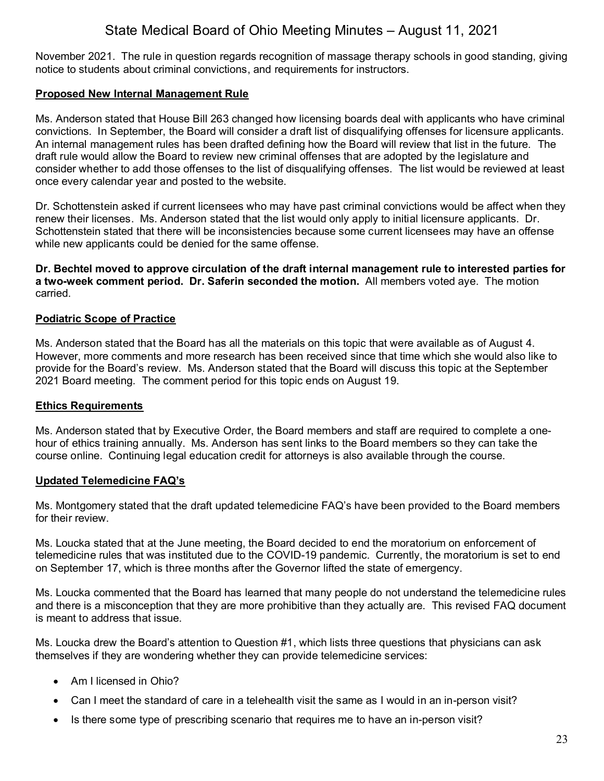November 2021. The rule in question regards recognition of massage therapy schools in good standing, giving notice to students about criminal convictions, and requirements for instructors.

#### **Proposed New Internal Management Rule**

Ms. Anderson stated that House Bill 263 changed how licensing boards deal with applicants who have criminal convictions. In September, the Board will consider a draft list of disqualifying offenses for licensure applicants. An internal management rules has been drafted defining how the Board will review that list in the future. The draft rule would allow the Board to review new criminal offenses that are adopted by the legislature and consider whether to add those offenses to the list of disqualifying offenses. The list would be reviewed at least once every calendar year and posted to the website.

Dr. Schottenstein asked if current licensees who may have past criminal convictions would be affect when they renew their licenses. Ms. Anderson stated that the list would only apply to initial licensure applicants. Dr. Schottenstein stated that there will be inconsistencies because some current licensees may have an offense while new applicants could be denied for the same offense.

**Dr. Bechtel moved to approve circulation of the draft internal management rule to interested parties for a two-week comment period. Dr. Saferin seconded the motion.** All members voted aye. The motion carried.

#### **Podiatric Scope of Practice**

Ms. Anderson stated that the Board has all the materials on this topic that were available as of August 4. However, more comments and more research has been received since that time which she would also like to provide for the Board's review. Ms. Anderson stated that the Board will discuss this topic at the September 2021 Board meeting. The comment period for this topic ends on August 19.

#### **Ethics Requirements**

Ms. Anderson stated that by Executive Order, the Board members and staff are required to complete a onehour of ethics training annually. Ms. Anderson has sent links to the Board members so they can take the course online. Continuing legal education credit for attorneys is also available through the course.

#### **Updated Telemedicine FAQ's**

Ms. Montgomery stated that the draft updated telemedicine FAQ's have been provided to the Board members for their review.

Ms. Loucka stated that at the June meeting, the Board decided to end the moratorium on enforcement of telemedicine rules that was instituted due to the COVID-19 pandemic. Currently, the moratorium is set to end on September 17, which is three months after the Governor lifted the state of emergency.

Ms. Loucka commented that the Board has learned that many people do not understand the telemedicine rules and there is a misconception that they are more prohibitive than they actually are. This revised FAQ document is meant to address that issue.

Ms. Loucka drew the Board's attention to Question #1, which lists three questions that physicians can ask themselves if they are wondering whether they can provide telemedicine services:

- Am I licensed in Ohio?
- Can I meet the standard of care in a telehealth visit the same as I would in an in-person visit?
- Is there some type of prescribing scenario that requires me to have an in-person visit?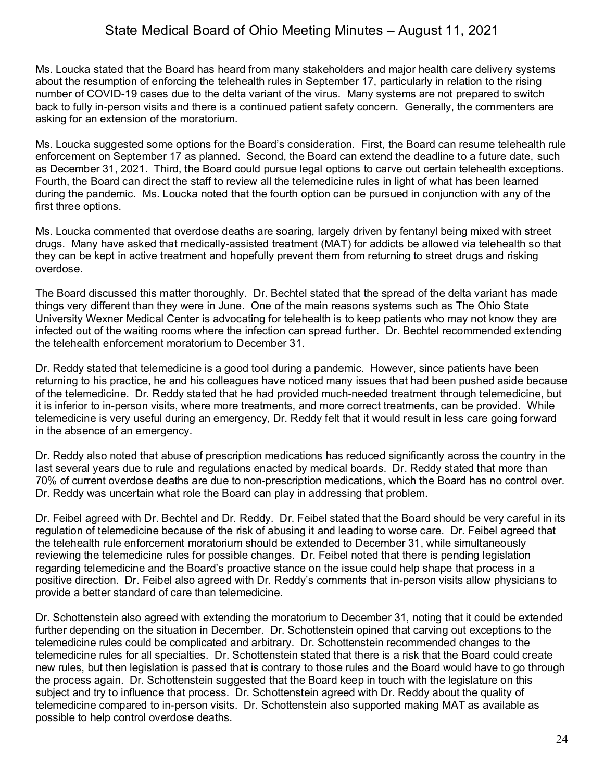Ms. Loucka stated that the Board has heard from many stakeholders and major health care delivery systems about the resumption of enforcing the telehealth rules in September 17, particularly in relation to the rising number of COVID-19 cases due to the delta variant of the virus. Many systems are not prepared to switch back to fully in-person visits and there is a continued patient safety concern. Generally, the commenters are asking for an extension of the moratorium.

Ms. Loucka suggested some options for the Board's consideration. First, the Board can resume telehealth rule enforcement on September 17 as planned. Second, the Board can extend the deadline to a future date, such as December 31, 2021. Third, the Board could pursue legal options to carve out certain telehealth exceptions. Fourth, the Board can direct the staff to review all the telemedicine rules in light of what has been learned during the pandemic. Ms. Loucka noted that the fourth option can be pursued in conjunction with any of the first three options.

Ms. Loucka commented that overdose deaths are soaring, largely driven by fentanyl being mixed with street drugs. Many have asked that medically-assisted treatment (MAT) for addicts be allowed via telehealth so that they can be kept in active treatment and hopefully prevent them from returning to street drugs and risking overdose.

The Board discussed this matter thoroughly. Dr. Bechtel stated that the spread of the delta variant has made things very different than they were in June. One of the main reasons systems such as The Ohio State University Wexner Medical Center is advocating for telehealth is to keep patients who may not know they are infected out of the waiting rooms where the infection can spread further. Dr. Bechtel recommended extending the telehealth enforcement moratorium to December 31.

Dr. Reddy stated that telemedicine is a good tool during a pandemic. However, since patients have been returning to his practice, he and his colleagues have noticed many issues that had been pushed aside because of the telemedicine. Dr. Reddy stated that he had provided much-needed treatment through telemedicine, but it is inferior to in-person visits, where more treatments, and more correct treatments, can be provided. While telemedicine is very useful during an emergency, Dr. Reddy felt that it would result in less care going forward in the absence of an emergency.

Dr. Reddy also noted that abuse of prescription medications has reduced significantly across the country in the last several years due to rule and regulations enacted by medical boards. Dr. Reddy stated that more than 70% of current overdose deaths are due to non-prescription medications, which the Board has no control over. Dr. Reddy was uncertain what role the Board can play in addressing that problem.

Dr. Feibel agreed with Dr. Bechtel and Dr. Reddy. Dr. Feibel stated that the Board should be very careful in its regulation of telemedicine because of the risk of abusing it and leading to worse care. Dr. Feibel agreed that the telehealth rule enforcement moratorium should be extended to December 31, while simultaneously reviewing the telemedicine rules for possible changes. Dr. Feibel noted that there is pending legislation regarding telemedicine and the Board's proactive stance on the issue could help shape that process in a positive direction. Dr. Feibel also agreed with Dr. Reddy's comments that in-person visits allow physicians to provide a better standard of care than telemedicine.

Dr. Schottenstein also agreed with extending the moratorium to December 31, noting that it could be extended further depending on the situation in December. Dr. Schottenstein opined that carving out exceptions to the telemedicine rules could be complicated and arbitrary. Dr. Schottenstein recommended changes to the telemedicine rules for all specialties. Dr. Schottenstein stated that there is a risk that the Board could create new rules, but then legislation is passed that is contrary to those rules and the Board would have to go through the process again. Dr. Schottenstein suggested that the Board keep in touch with the legislature on this subject and try to influence that process. Dr. Schottenstein agreed with Dr. Reddy about the quality of telemedicine compared to in-person visits. Dr. Schottenstein also supported making MAT as available as possible to help control overdose deaths.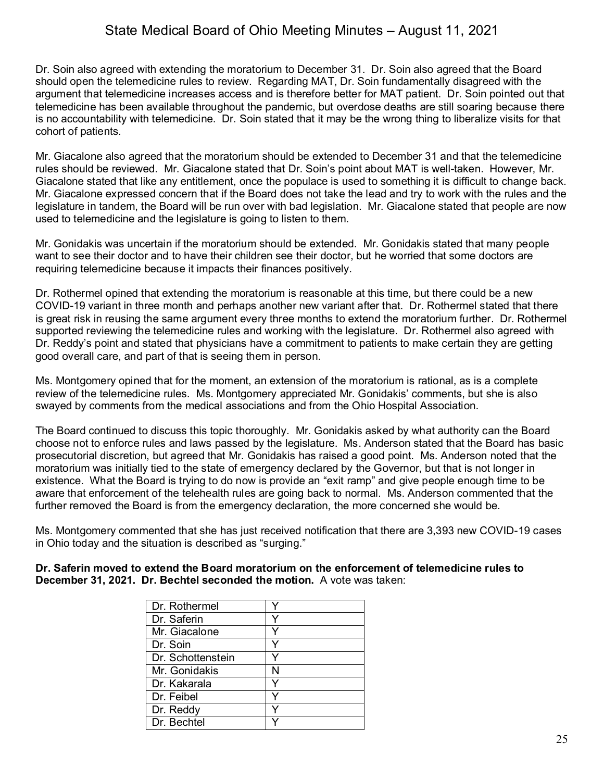Dr. Soin also agreed with extending the moratorium to December 31. Dr. Soin also agreed that the Board should open the telemedicine rules to review. Regarding MAT, Dr. Soin fundamentally disagreed with the argument that telemedicine increases access and is therefore better for MAT patient. Dr. Soin pointed out that telemedicine has been available throughout the pandemic, but overdose deaths are still soaring because there is no accountability with telemedicine. Dr. Soin stated that it may be the wrong thing to liberalize visits for that cohort of patients.

Mr. Giacalone also agreed that the moratorium should be extended to December 31 and that the telemedicine rules should be reviewed. Mr. Giacalone stated that Dr. Soin's point about MAT is well-taken. However, Mr. Giacalone stated that like any entitlement, once the populace is used to something it is difficult to change back. Mr. Giacalone expressed concern that if the Board does not take the lead and try to work with the rules and the legislature in tandem, the Board will be run over with bad legislation. Mr. Giacalone stated that people are now used to telemedicine and the legislature is going to listen to them.

Mr. Gonidakis was uncertain if the moratorium should be extended. Mr. Gonidakis stated that many people want to see their doctor and to have their children see their doctor, but he worried that some doctors are requiring telemedicine because it impacts their finances positively.

Dr. Rothermel opined that extending the moratorium is reasonable at this time, but there could be a new COVID-19 variant in three month and perhaps another new variant after that. Dr. Rothermel stated that there is great risk in reusing the same argument every three months to extend the moratorium further. Dr. Rothermel supported reviewing the telemedicine rules and working with the legislature. Dr. Rothermel also agreed with Dr. Reddy's point and stated that physicians have a commitment to patients to make certain they are getting good overall care, and part of that is seeing them in person.

Ms. Montgomery opined that for the moment, an extension of the moratorium is rational, as is a complete review of the telemedicine rules. Ms. Montgomery appreciated Mr. Gonidakis' comments, but she is also swayed by comments from the medical associations and from the Ohio Hospital Association.

The Board continued to discuss this topic thoroughly. Mr. Gonidakis asked by what authority can the Board choose not to enforce rules and laws passed by the legislature. Ms. Anderson stated that the Board has basic prosecutorial discretion, but agreed that Mr. Gonidakis has raised a good point. Ms. Anderson noted that the moratorium was initially tied to the state of emergency declared by the Governor, but that is not longer in existence. What the Board is trying to do now is provide an "exit ramp" and give people enough time to be aware that enforcement of the telehealth rules are going back to normal. Ms. Anderson commented that the further removed the Board is from the emergency declaration, the more concerned she would be.

Ms. Montgomery commented that she has just received notification that there are 3,393 new COVID-19 cases in Ohio today and the situation is described as "surging."

| Dr. Saferin moved to extend the Board moratorium on the enforcement of telemedicine rules to |
|----------------------------------------------------------------------------------------------|
| December 31, 2021. Dr. Bechtel seconded the motion. A vote was taken:                        |

| Dr. Rothermel     |   |
|-------------------|---|
| Dr. Saferin       |   |
| Mr. Giacalone     |   |
| Dr. Soin          |   |
| Dr. Schottenstein |   |
| Mr. Gonidakis     | N |
| Dr. Kakarala      |   |
| Dr. Feibel        |   |
| Dr. Reddy         |   |
| Dr. Bechtel       |   |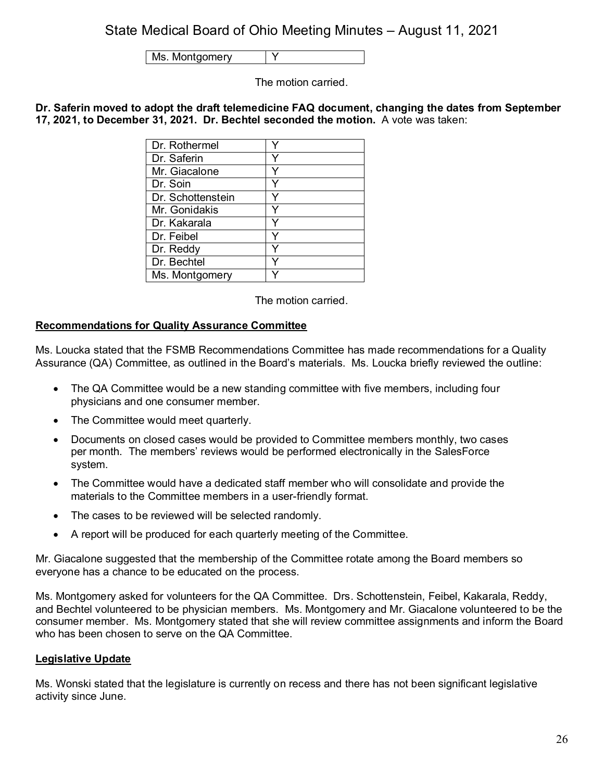Ms. Montgomery | Y

The motion carried.

**Dr. Saferin moved to adopt the draft telemedicine FAQ document, changing the dates from September 17, 2021, to December 31, 2021. Dr. Bechtel seconded the motion.** A vote was taken:

| Dr. Rothermel     |  |
|-------------------|--|
| Dr. Saferin       |  |
| Mr. Giacalone     |  |
| Dr. Soin          |  |
| Dr. Schottenstein |  |
| Mr. Gonidakis     |  |
| Dr. Kakarala      |  |
| Dr. Feibel        |  |
| Dr. Reddy         |  |
| Dr. Bechtel       |  |
| Ms. Montgomery    |  |

The motion carried.

## **Recommendations for Quality Assurance Committee**

Ms. Loucka stated that the FSMB Recommendations Committee has made recommendations for a Quality Assurance (QA) Committee, as outlined in the Board's materials. Ms. Loucka briefly reviewed the outline:

- The QA Committee would be a new standing committee with five members, including four physicians and one consumer member.
- The Committee would meet quarterly.
- Documents on closed cases would be provided to Committee members monthly, two cases per month. The members' reviews would be performed electronically in the SalesForce system.
- The Committee would have a dedicated staff member who will consolidate and provide the materials to the Committee members in a user-friendly format.
- The cases to be reviewed will be selected randomly.
- A report will be produced for each quarterly meeting of the Committee.

Mr. Giacalone suggested that the membership of the Committee rotate among the Board members so everyone has a chance to be educated on the process.

Ms. Montgomery asked for volunteers for the QA Committee. Drs. Schottenstein, Feibel, Kakarala, Reddy, and Bechtel volunteered to be physician members. Ms. Montgomery and Mr. Giacalone volunteered to be the consumer member. Ms. Montgomery stated that she will review committee assignments and inform the Board who has been chosen to serve on the QA Committee.

## **Legislative Update**

Ms. Wonski stated that the legislature is currently on recess and there has not been significant legislative activity since June.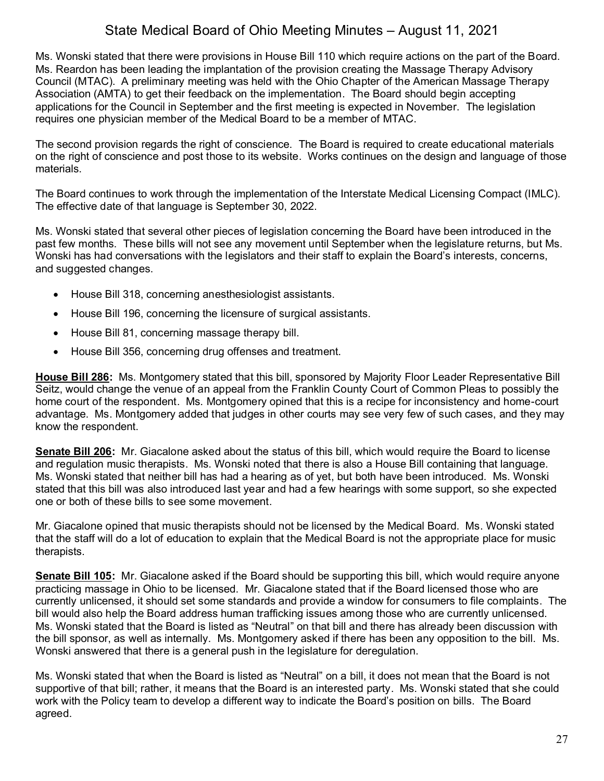Ms. Wonski stated that there were provisions in House Bill 110 which require actions on the part of the Board. Ms. Reardon has been leading the implantation of the provision creating the Massage Therapy Advisory Council (MTAC). A preliminary meeting was held with the Ohio Chapter of the American Massage Therapy Association (AMTA) to get their feedback on the implementation. The Board should begin accepting applications for the Council in September and the first meeting is expected in November. The legislation requires one physician member of the Medical Board to be a member of MTAC.

The second provision regards the right of conscience. The Board is required to create educational materials on the right of conscience and post those to its website. Works continues on the design and language of those materials.

The Board continues to work through the implementation of the Interstate Medical Licensing Compact (IMLC). The effective date of that language is September 30, 2022.

Ms. Wonski stated that several other pieces of legislation concerning the Board have been introduced in the past few months. These bills will not see any movement until September when the legislature returns, but Ms. Wonski has had conversations with the legislators and their staff to explain the Board's interests, concerns, and suggested changes.

- House Bill 318, concerning anesthesiologist assistants.
- House Bill 196, concerning the licensure of surgical assistants.
- House Bill 81, concerning massage therapy bill.
- House Bill 356, concerning drug offenses and treatment.

**House Bill 286:** Ms. Montgomery stated that this bill, sponsored by Majority Floor Leader Representative Bill Seitz, would change the venue of an appeal from the Franklin County Court of Common Pleas to possibly the home court of the respondent. Ms. Montgomery opined that this is a recipe for inconsistency and home-court advantage. Ms. Montgomery added that judges in other courts may see very few of such cases, and they may know the respondent.

**Senate Bill 206:** Mr. Giacalone asked about the status of this bill, which would require the Board to license and regulation music therapists. Ms. Wonski noted that there is also a House Bill containing that language. Ms. Wonski stated that neither bill has had a hearing as of yet, but both have been introduced. Ms. Wonski stated that this bill was also introduced last year and had a few hearings with some support, so she expected one or both of these bills to see some movement.

Mr. Giacalone opined that music therapists should not be licensed by the Medical Board. Ms. Wonski stated that the staff will do a lot of education to explain that the Medical Board is not the appropriate place for music therapists.

**Senate Bill 105:** Mr. Giacalone asked if the Board should be supporting this bill, which would require anyone practicing massage in Ohio to be licensed. Mr. Giacalone stated that if the Board licensed those who are currently unlicensed, it should set some standards and provide a window for consumers to file complaints. The bill would also help the Board address human trafficking issues among those who are currently unlicensed. Ms. Wonski stated that the Board is listed as "Neutral" on that bill and there has already been discussion with the bill sponsor, as well as internally. Ms. Montgomery asked if there has been any opposition to the bill. Ms. Wonski answered that there is a general push in the legislature for deregulation.

Ms. Wonski stated that when the Board is listed as "Neutral" on a bill, it does not mean that the Board is not supportive of that bill; rather, it means that the Board is an interested party. Ms. Wonski stated that she could work with the Policy team to develop a different way to indicate the Board's position on bills. The Board agreed.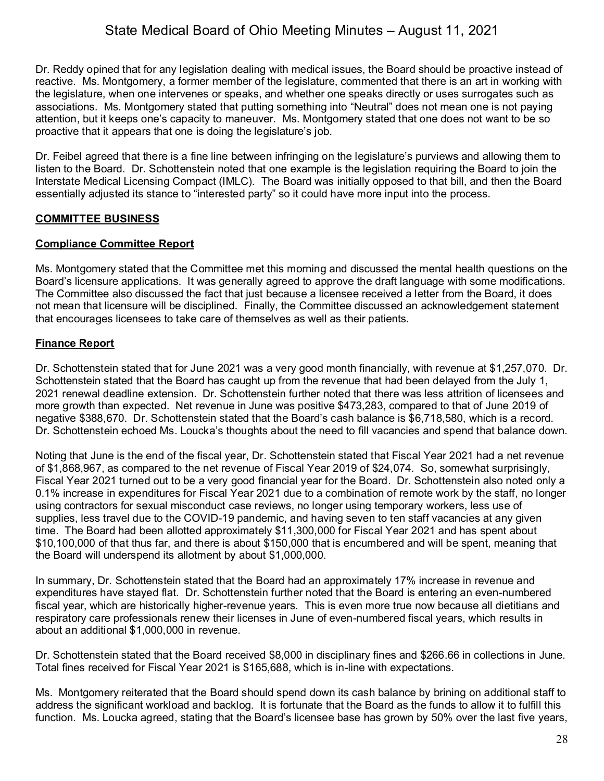Dr. Reddy opined that for any legislation dealing with medical issues, the Board should be proactive instead of reactive. Ms. Montgomery, a former member of the legislature, commented that there is an art in working with the legislature, when one intervenes or speaks, and whether one speaks directly or uses surrogates such as associations. Ms. Montgomery stated that putting something into "Neutral" does not mean one is not paying attention, but it keeps one's capacity to maneuver. Ms. Montgomery stated that one does not want to be so proactive that it appears that one is doing the legislature's job.

Dr. Feibel agreed that there is a fine line between infringing on the legislature's purviews and allowing them to listen to the Board. Dr. Schottenstein noted that one example is the legislation requiring the Board to join the Interstate Medical Licensing Compact (IMLC). The Board was initially opposed to that bill, and then the Board essentially adjusted its stance to "interested party" so it could have more input into the process.

#### **COMMITTEE BUSINESS**

#### **Compliance Committee Report**

Ms. Montgomery stated that the Committee met this morning and discussed the mental health questions on the Board's licensure applications. It was generally agreed to approve the draft language with some modifications. The Committee also discussed the fact that just because a licensee received a letter from the Board, it does not mean that licensure will be disciplined. Finally, the Committee discussed an acknowledgement statement that encourages licensees to take care of themselves as well as their patients.

#### **Finance Report**

Dr. Schottenstein stated that for June 2021 was a very good month financially, with revenue at \$1,257,070. Dr. Schottenstein stated that the Board has caught up from the revenue that had been delayed from the July 1, 2021 renewal deadline extension. Dr. Schottenstein further noted that there was less attrition of licensees and more growth than expected. Net revenue in June was positive \$473,283, compared to that of June 2019 of negative \$388,670. Dr. Schottenstein stated that the Board's cash balance is \$6,718,580, which is a record. Dr. Schottenstein echoed Ms. Loucka's thoughts about the need to fill vacancies and spend that balance down.

Noting that June is the end of the fiscal year, Dr. Schottenstein stated that Fiscal Year 2021 had a net revenue of \$1,868,967, as compared to the net revenue of Fiscal Year 2019 of \$24,074. So, somewhat surprisingly, Fiscal Year 2021 turned out to be a very good financial year for the Board. Dr. Schottenstein also noted only a 0.1% increase in expenditures for Fiscal Year 2021 due to a combination of remote work by the staff, no longer using contractors for sexual misconduct case reviews, no longer using temporary workers, less use of supplies, less travel due to the COVID-19 pandemic, and having seven to ten staff vacancies at any given time. The Board had been allotted approximately \$11,300,000 for Fiscal Year 2021 and has spent about \$10,100,000 of that thus far, and there is about \$150,000 that is encumbered and will be spent, meaning that the Board will underspend its allotment by about \$1,000,000.

In summary, Dr. Schottenstein stated that the Board had an approximately 17% increase in revenue and expenditures have stayed flat. Dr. Schottenstein further noted that the Board is entering an even-numbered fiscal year, which are historically higher-revenue years. This is even more true now because all dietitians and respiratory care professionals renew their licenses in June of even-numbered fiscal years, which results in about an additional \$1,000,000 in revenue.

Dr. Schottenstein stated that the Board received \$8,000 in disciplinary fines and \$266.66 in collections in June. Total fines received for Fiscal Year 2021 is \$165,688, which is in-line with expectations.

Ms. Montgomery reiterated that the Board should spend down its cash balance by brining on additional staff to address the significant workload and backlog. It is fortunate that the Board as the funds to allow it to fulfill this function. Ms. Loucka agreed, stating that the Board's licensee base has grown by 50% over the last five years,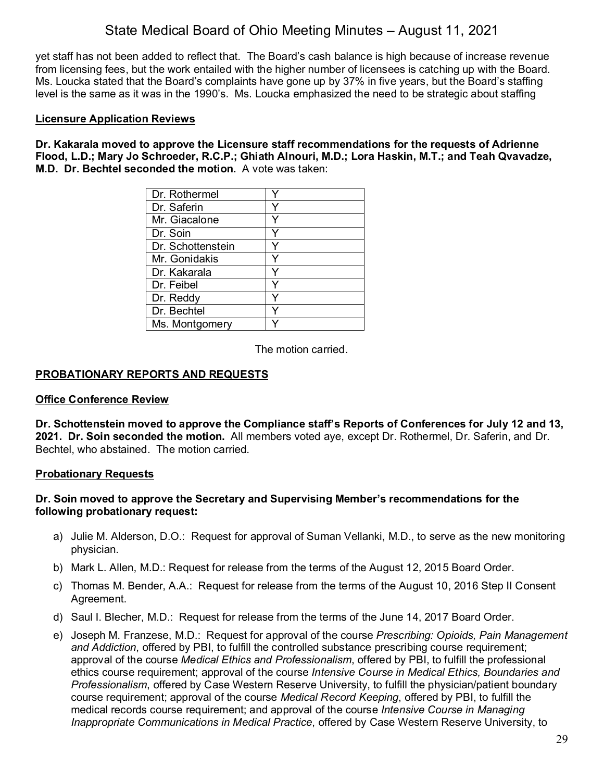yet staff has not been added to reflect that. The Board's cash balance is high because of increase revenue from licensing fees, but the work entailed with the higher number of licensees is catching up with the Board. Ms. Loucka stated that the Board's complaints have gone up by 37% in five years, but the Board's staffing level is the same as it was in the 1990's. Ms. Loucka emphasized the need to be strategic about staffing

#### **Licensure Application Reviews**

**Dr. Kakarala moved to approve the Licensure staff recommendations for the requests of Adrienne Flood, L.D.; Mary Jo Schroeder, R.C.P.; Ghiath Alnouri, M.D.; Lora Haskin, M.T.; and Teah Qvavadze, M.D. Dr. Bechtel seconded the motion.** A vote was taken:

| Dr. Rothermel     |   |
|-------------------|---|
| Dr. Saferin       |   |
| Mr. Giacalone     |   |
| Dr. Soin          |   |
| Dr. Schottenstein | Y |
| Mr. Gonidakis     |   |
| Dr. Kakarala      |   |
| Dr. Feibel        |   |
| Dr. Reddy         |   |
| Dr. Bechtel       |   |
| Ms. Montgomery    |   |

The motion carried.

## **PROBATIONARY REPORTS AND REQUESTS**

#### **Office Conference Review**

**Dr. Schottenstein moved to approve the Compliance staff's Reports of Conferences for July 12 and 13, 2021. Dr. Soin seconded the motion.** All members voted aye, except Dr. Rothermel, Dr. Saferin, and Dr. Bechtel, who abstained. The motion carried.

#### **Probationary Requests**

#### **Dr. Soin moved to approve the Secretary and Supervising Member's recommendations for the following probationary request:**

- a) Julie M. Alderson, D.O.: Request for approval of Suman Vellanki, M.D., to serve as the new monitoring physician.
- b) Mark L. Allen, M.D.: Request for release from the terms of the August 12, 2015 Board Order.
- c) Thomas M. Bender, A.A.: Request for release from the terms of the August 10, 2016 Step II Consent Agreement.
- d) Saul I. Blecher, M.D.: Request for release from the terms of the June 14, 2017 Board Order.
- e) Joseph M. Franzese, M.D.: Request for approval of the course *Prescribing: Opioids, Pain Management and Addiction*, offered by PBI, to fulfill the controlled substance prescribing course requirement; approval of the course *Medical Ethics and Professionalism*, offered by PBI, to fulfill the professional ethics course requirement; approval of the course *Intensive Course in Medical Ethics, Boundaries and Professionalism*, offered by Case Western Reserve University, to fulfill the physician/patient boundary course requirement; approval of the course *Medical Record Keeping*, offered by PBI, to fulfill the medical records course requirement; and approval of the course *Intensive Course in Managing Inappropriate Communications in Medical Practice*, offered by Case Western Reserve University, to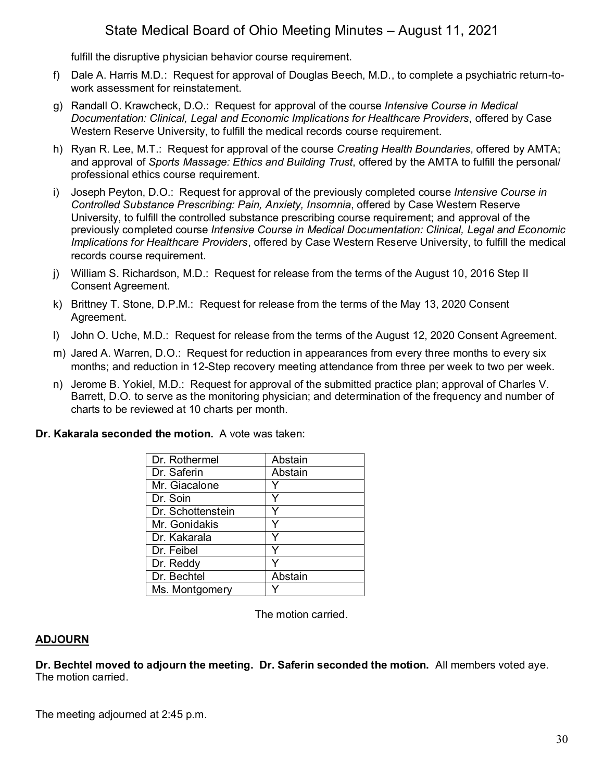fulfill the disruptive physician behavior course requirement.

- f) Dale A. Harris M.D.: Request for approval of Douglas Beech, M.D., to complete a psychiatric return-towork assessment for reinstatement.
- g) Randall O. Krawcheck, D.O.: Request for approval of the course *Intensive Course in Medical Documentation: Clinical, Legal and Economic Implications for Healthcare Providers*, offered by Case Western Reserve University, to fulfill the medical records course requirement.
- h) Ryan R. Lee, M.T.: Request for approval of the course *Creating Health Boundaries*, offered by AMTA; and approval of *Sports Massage: Ethics and Building Trust*, offered by the AMTA to fulfill the personal/ professional ethics course requirement.
- i) Joseph Peyton, D.O.: Request for approval of the previously completed course *Intensive Course in Controlled Substance Prescribing: Pain, Anxiety, Insomnia*, offered by Case Western Reserve University, to fulfill the controlled substance prescribing course requirement; and approval of the previously completed course *Intensive Course in Medical Documentation: Clinical, Legal and Economic Implications for Healthcare Providers*, offered by Case Western Reserve University, to fulfill the medical records course requirement.
- j) William S. Richardson, M.D.: Request for release from the terms of the August 10, 2016 Step II Consent Agreement.
- k) Brittney T. Stone, D.P.M.: Request for release from the terms of the May 13, 2020 Consent Agreement.
- l) John O. Uche, M.D.: Request for release from the terms of the August 12, 2020 Consent Agreement.
- m) Jared A. Warren, D.O.: Request for reduction in appearances from every three months to every six months; and reduction in 12-Step recovery meeting attendance from three per week to two per week.
- n) Jerome B. Yokiel, M.D.: Request for approval of the submitted practice plan; approval of Charles V. Barrett, D.O. to serve as the monitoring physician; and determination of the frequency and number of charts to be reviewed at 10 charts per month.

#### **Dr. Kakarala seconded the motion.** A vote was taken:

| Dr. Rothermel     | Abstain |
|-------------------|---------|
| Dr. Saferin       | Abstain |
| Mr. Giacalone     |         |
| Dr. Soin          |         |
| Dr. Schottenstein |         |
| Mr. Gonidakis     |         |
| Dr. Kakarala      |         |
| Dr. Feibel        |         |
| Dr. Reddy         |         |
| Dr. Bechtel       | Abstain |
| Ms. Montgomery    |         |

The motion carried.

## **ADJOURN**

**Dr. Bechtel moved to adjourn the meeting. Dr. Saferin seconded the motion.** All members voted aye. The motion carried.

The meeting adjourned at 2:45 p.m.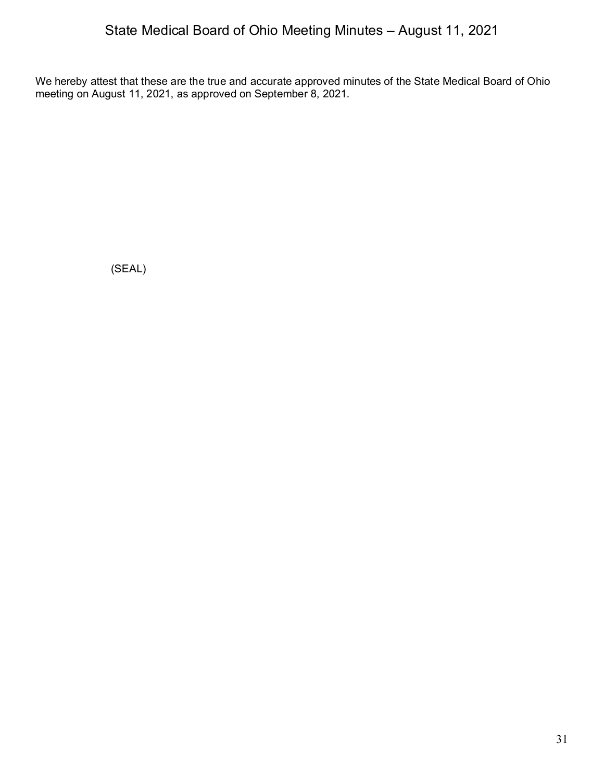We hereby attest that these are the true and accurate approved minutes of the State Medical Board of Ohio meeting on August 11, 2021, as approved on September 8, 2021.

(SEAL)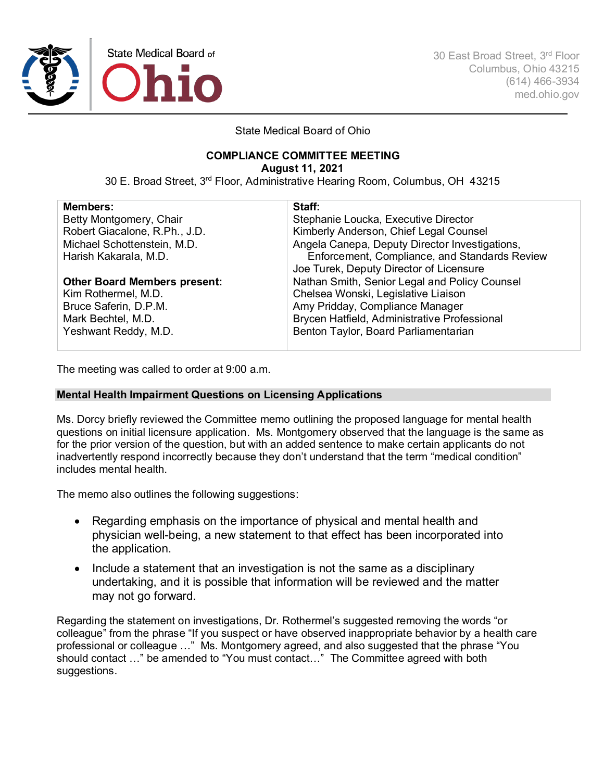

30 East Broad Street, 3rd Floor Columbus, Ohio 43215 (614) 466-3934 med.ohio.gov

State Medical Board of Ohio

## **COMPLIANCE COMMITTEE MEETING**

**August 11, 2021**

30 E. Broad Street, 3rd Floor, Administrative Hearing Room, Columbus, OH 43215

| <b>Members:</b>                     | Staff:                                         |
|-------------------------------------|------------------------------------------------|
| Betty Montgomery, Chair             | Stephanie Loucka, Executive Director           |
| Robert Giacalone, R.Ph., J.D.       | Kimberly Anderson, Chief Legal Counsel         |
| Michael Schottenstein, M.D.         | Angela Canepa, Deputy Director Investigations, |
| Harish Kakarala, M.D.               | Enforcement, Compliance, and Standards Review  |
|                                     | Joe Turek, Deputy Director of Licensure        |
| <b>Other Board Members present:</b> | Nathan Smith, Senior Legal and Policy Counsel  |
| Kim Rothermel, M.D.                 | Chelsea Wonski, Legislative Liaison            |
| Bruce Saferin, D.P.M.               | Amy Pridday, Compliance Manager                |
| Mark Bechtel, M.D.                  | Brycen Hatfield, Administrative Professional   |
| Yeshwant Reddy, M.D.                | Benton Taylor, Board Parliamentarian           |
|                                     |                                                |

The meeting was called to order at 9:00 a.m.

#### **Mental Health Impairment Questions on Licensing Applications**

Ms. Dorcy briefly reviewed the Committee memo outlining the proposed language for mental health questions on initial licensure application. Ms. Montgomery observed that the language is the same as for the prior version of the question, but with an added sentence to make certain applicants do not inadvertently respond incorrectly because they don't understand that the term "medical condition" includes mental health.

The memo also outlines the following suggestions:

- Regarding emphasis on the importance of physical and mental health and physician well-being, a new statement to that effect has been incorporated into the application.
- Include a statement that an investigation is not the same as a disciplinary undertaking, and it is possible that information will be reviewed and the matter may not go forward.

Regarding the statement on investigations, Dr. Rothermel's suggested removing the words "or colleague" from the phrase "If you suspect or have observed inappropriate behavior by a health care professional or colleague …" Ms. Montgomery agreed, and also suggested that the phrase "You should contact …" be amended to "You must contact…" The Committee agreed with both suggestions.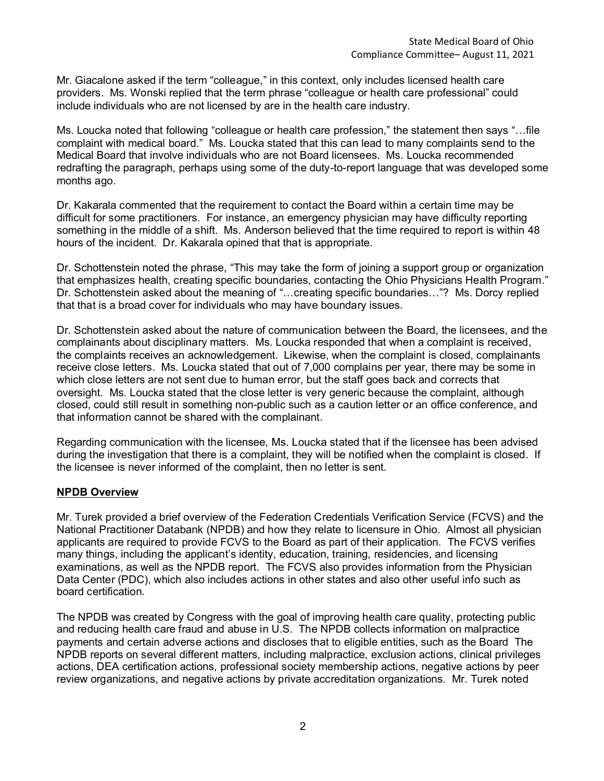Mr. Giacalone asked if the term "colleague," in this context, only includes licensed health care providers. Ms. Wonski replied that the term phrase "colleague or health care professional" could include individuals who are not licensed by are in the health care industry.

Ms. Loucka noted that following "colleague or health care profession," the statement then says "…file complaint with medical board." Ms. Loucka stated that this can lead to many complaints send to the Medical Board that involve individuals who are not Board licensees. Ms. Loucka recommended redrafting the paragraph, perhaps using some of the duty-to-report language that was developed some months ago.

Dr. Kakarala commented that the requirement to contact the Board within a certain time may be difficult for some practitioners. For instance, an emergency physician may have difficulty reporting something in the middle of a shift. Ms. Anderson believed that the time required to report is within 48 hours of the incident. Dr. Kakarala opined that that is appropriate.

Dr. Schottenstein noted the phrase, "This may take the form of joining a support group or organization that emphasizes health, creating specific boundaries, contacting the Ohio Physicians Health Program." Dr. Schottenstein asked about the meaning of "…creating specific boundaries…"? Ms. Dorcy replied that that is a broad cover for individuals who may have boundary issues.

Dr. Schottenstein asked about the nature of communication between the Board, the licensees, and the complainants about disciplinary matters. Ms. Loucka responded that when a complaint is received, the complaints receives an acknowledgement. Likewise, when the complaint is closed, complainants receive close letters. Ms. Loucka stated that out of 7,000 complains per year, there may be some in which close letters are not sent due to human error, but the staff goes back and corrects that oversight. Ms. Loucka stated that the close letter is very generic because the complaint, although closed, could still result in something non-public such as a caution letter or an office conference, and that information cannot be shared with the complainant.

Regarding communication with the licensee, Ms. Loucka stated that if the licensee has been advised during the investigation that there is a complaint, they will be notified when the complaint is closed. If the licensee is never informed of the complaint, then no letter is sent.

#### **NPDB Overview**

Mr. Turek provided a brief overview of the Federation Credentials Verification Service (FCVS) and the National Practitioner Databank (NPDB) and how they relate to licensure in Ohio. Almost all physician applicants are required to provide FCVS to the Board as part of their application. The FCVS verifies many things, including the applicant's identity, education, training, residencies, and licensing examinations, as well as the NPDB report. The FCVS also provides information from the Physician Data Center (PDC), which also includes actions in other states and also other useful info such as board certification.

The NPDB was created by Congress with the goal of improving health care quality, protecting public and reducing health care fraud and abuse in U.S. The NPDB collects information on malpractice payments and certain adverse actions and discloses that to eligible entities, such as the Board The NPDB reports on several different matters, including malpractice, exclusion actions, clinical privileges actions, DEA certification actions, professional society membership actions, negative actions by peer review organizations, and negative actions by private accreditation organizations. Mr. Turek noted